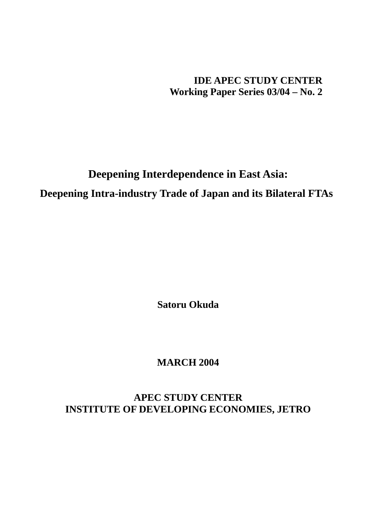## **IDE APEC STUDY CENTER Working Paper Series 03/04 – No. 2**

# **Deepening Interdependence in East Asia: Deepening Intra-industry Trade of Japan and its Bilateral FTAs**

**Satoru Okuda** 

# **MARCH 2004**

**APEC STUDY CENTER INSTITUTE OF DEVELOPING ECONOMIES, JETRO**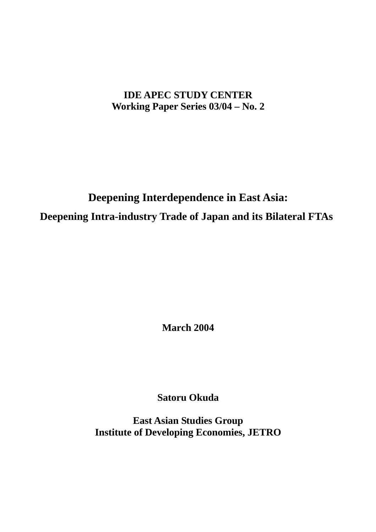# **IDE APEC STUDY CENTER Working Paper Series 03/04 – No. 2**

# **Deepening Interdependence in East Asia: Deepening Intra-industry Trade of Japan and its Bilateral FTAs**

**March 2004** 

**Satoru Okuda** 

**East Asian Studies Group Institute of Developing Economies, JETRO**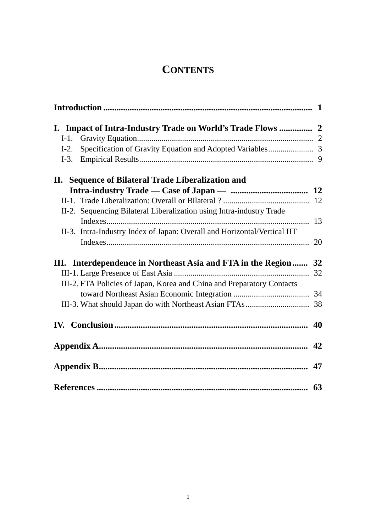# **CONTENTS**

| $I-1$ . |                                                                          |    |
|---------|--------------------------------------------------------------------------|----|
| $I-2$ . |                                                                          |    |
| $I-3$ . |                                                                          |    |
|         | II. Sequence of Bilateral Trade Liberalization and                       |    |
|         |                                                                          |    |
|         |                                                                          |    |
|         | II-2. Sequencing Bilateral Liberalization using Intra-industry Trade     |    |
|         |                                                                          | 13 |
|         | II-3. Intra-Industry Index of Japan: Overall and Horizontal/Vertical IIT |    |
|         |                                                                          |    |
|         | III. Interdependence in Northeast Asia and FTA in the Region 32          |    |
|         |                                                                          |    |
|         | III-2. FTA Policies of Japan, Korea and China and Preparatory Contacts   |    |
|         |                                                                          |    |
|         |                                                                          |    |
|         |                                                                          |    |
|         |                                                                          | 42 |
|         |                                                                          |    |
|         |                                                                          | 63 |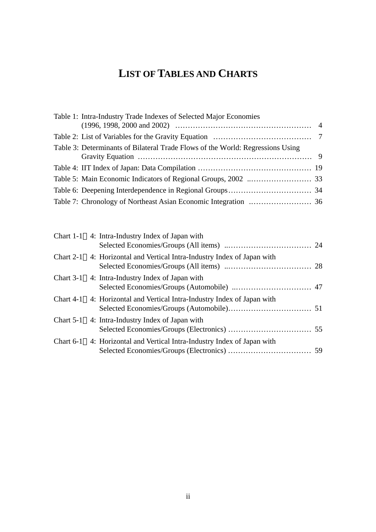# **LIST OF TABLES AND CHARTS**

| Table 1: Intra-Industry Trade Indexes of Selected Major Economies              |  |
|--------------------------------------------------------------------------------|--|
|                                                                                |  |
| Table 3: Determinants of Bilateral Trade Flows of the World: Regressions Using |  |
|                                                                                |  |
|                                                                                |  |
|                                                                                |  |
|                                                                                |  |

| Chart 1-1 4: Intra-Industry Index of Japan with                         |  |
|-------------------------------------------------------------------------|--|
| Chart 2-1 4: Horizontal and Vertical Intra-Industry Index of Japan with |  |
| Chart 3-1 4: Intra-Industry Index of Japan with                         |  |
| Chart 4-1 4: Horizontal and Vertical Intra-Industry Index of Japan with |  |
| Chart 5-1 4: Intra-Industry Index of Japan with                         |  |
| Chart 6-1 4: Horizontal and Vertical Intra-Industry Index of Japan with |  |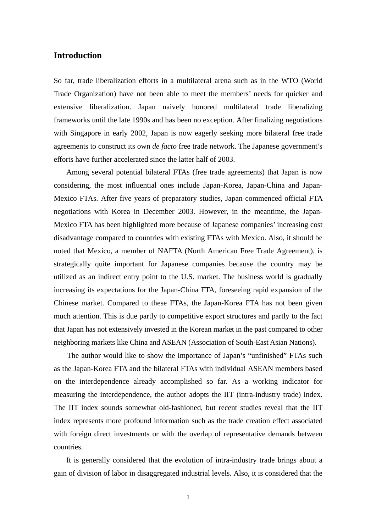## **Introduction**

So far, trade liberalization efforts in a multilateral arena such as in the WTO (World Trade Organization) have not been able to meet the members' needs for quicker and extensive liberalization. Japan naively honored multilateral trade liberalizing frameworks until the late 1990s and has been no exception. After finalizing negotiations with Singapore in early 2002, Japan is now eagerly seeking more bilateral free trade agreements to construct its own *de facto* free trade network. The Japanese government's efforts have further accelerated since the latter half of 2003.

Among several potential bilateral FTAs (free trade agreements) that Japan is now considering, the most influential ones include Japan-Korea, Japan-China and Japan-Mexico FTAs. After five years of preparatory studies, Japan commenced official FTA negotiations with Korea in December 2003. However, in the meantime, the Japan-Mexico FTA has been highlighted more because of Japanese companies' increasing cost disadvantage compared to countries with existing FTAs with Mexico. Also, it should be noted that Mexico, a member of NAFTA (North American Free Trade Agreement), is strategically quite important for Japanese companies because the country may be utilized as an indirect entry point to the U.S. market. The business world is gradually increasing its expectations for the Japan-China FTA, foreseeing rapid expansion of the Chinese market. Compared to these FTAs, the Japan-Korea FTA has not been given much attention. This is due partly to competitive export structures and partly to the fact that Japan has not extensively invested in the Korean market in the past compared to other neighboring markets like China and ASEAN (Association of South-East Asian Nations).

The author would like to show the importance of Japan's "unfinished" FTAs such as the Japan-Korea FTA and the bilateral FTAs with individual ASEAN members based on the interdependence already accomplished so far. As a working indicator for measuring the interdependence, the author adopts the IIT (intra-industry trade) index. The IIT index sounds somewhat old-fashioned, but recent studies reveal that the IIT index represents more profound information such as the trade creation effect associated with foreign direct investments or with the overlap of representative demands between countries.

It is generally considered that the evolution of intra-industry trade brings about a gain of division of labor in disaggregated industrial levels. Also, it is considered that the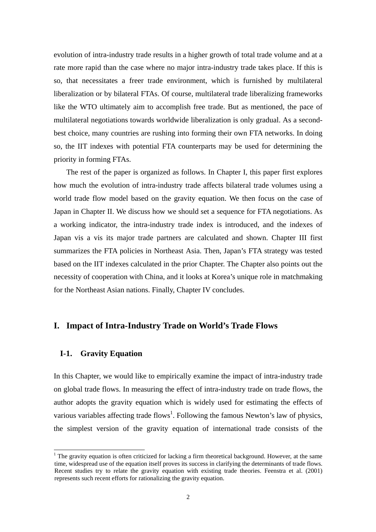evolution of intra-industry trade results in a higher growth of total trade volume and at a rate more rapid than the case where no major intra-industry trade takes place. If this is so, that necessitates a freer trade environment, which is furnished by multilateral liberalization or by bilateral FTAs. Of course, multilateral trade liberalizing frameworks like the WTO ultimately aim to accomplish free trade. But as mentioned, the pace of multilateral negotiations towards worldwide liberalization is only gradual. As a secondbest choice, many countries are rushing into forming their own FTA networks. In doing so, the IIT indexes with potential FTA counterparts may be used for determining the priority in forming FTAs.

The rest of the paper is organized as follows. In Chapter I, this paper first explores how much the evolution of intra-industry trade affects bilateral trade volumes using a world trade flow model based on the gravity equation. We then focus on the case of Japan in Chapter II. We discuss how we should set a sequence for FTA negotiations. As a working indicator, the intra-industry trade index is introduced, and the indexes of Japan vis a vis its major trade partners are calculated and shown. Chapter III first summarizes the FTA policies in Northeast Asia. Then, Japan's FTA strategy was tested based on the IIT indexes calculated in the prior Chapter. The Chapter also points out the necessity of cooperation with China, and it looks at Korea's unique role in matchmaking for the Northeast Asian nations. Finally, Chapter IV concludes.

## **I. Impact of Intra-Industry Trade on World's Trade Flows**

## **I-1. Gravity Equation**

l

In this Chapter, we would like to empirically examine the impact of intra-industry trade on global trade flows. In measuring the effect of intra-industry trade on trade flows, the author adopts the gravity equation which is widely used for estimating the effects of various variables affecting trade flows<sup>1</sup>. Following the famous Newton's law of physics, the simplest version of the gravity equation of international trade consists of the

<sup>&</sup>lt;sup>1</sup> The gravity equation is often criticized for lacking a firm theoretical background. However, at the same time, widespread use of the equation itself proves its success in clarifying the determinants of trade flows. Recent studies try to relate the gravity equation with existing trade theories. Feenstra et al. (2001) represents such recent efforts for rationalizing the gravity equation.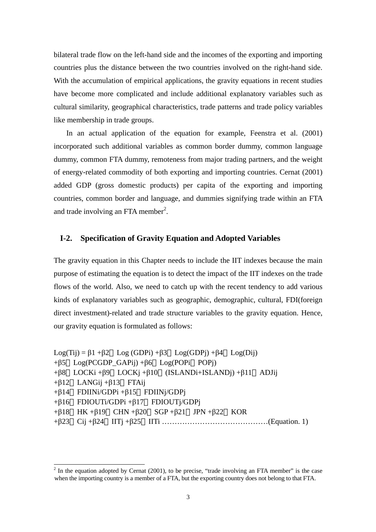bilateral trade flow on the left-hand side and the incomes of the exporting and importing countries plus the distance between the two countries involved on the right-hand side. With the accumulation of empirical applications, the gravity equations in recent studies have become more complicated and include additional explanatory variables such as cultural similarity, geographical characteristics, trade patterns and trade policy variables like membership in trade groups.

In an actual application of the equation for example, Feenstra et al. (2001) incorporated such additional variables as common border dummy, common language dummy, common FTA dummy, remoteness from major trading partners, and the weight of energy-related commodity of both exporting and importing countries. Cernat (2001) added GDP (gross domestic products) per capita of the exporting and importing countries, common border and language, and dummies signifying trade within an FTA and trade involving an FTA member<sup>2</sup>.

## **I-2. Specification of Gravity Equation and Adopted Variables**

The gravity equation in this Chapter needs to include the IIT indexes because the main purpose of estimating the equation is to detect the impact of the IIT indexes on the trade flows of the world. Also, we need to catch up with the recent tendency to add various kinds of explanatory variables such as geographic, demographic, cultural, FDI(foreign direct investment)-related and trade structure variables to the gravity equation. Hence, our gravity equation is formulated as follows:

```
Log(Tij) = \beta1 +\beta2 Log(GDPi) +\beta3 Log(GDPi) +\beta4 Log(Dij)
+ \beta5 Log(PCGDP GAPij) + \beta6 Log(POPi POPj)
+β8 LOCKi +β9 LOCKj +β10 (ISLANDi+ISLANDj) +β11 ADJij 
+\beta12 LANGij +\beta13 FTAij
+β14 FDIINi/GDPi +β15 FDIINj/GDPj 
+β16 FDIOUTi/GDPi +β17 FDIOUTj/GDPj 
+\beta18 HK +\beta19 CHN +\beta20 SGP +\beta21 JPN +\beta22 KOR
+β23 Cij +β24 IITj +β25 IITi ……………………………………(Equation. 1)
```
l

 $2$  In the equation adopted by Cernat (2001), to be precise, "trade involving an FTA member" is the case when the importing country is a member of a FTA, but the exporting country does not belong to that FTA.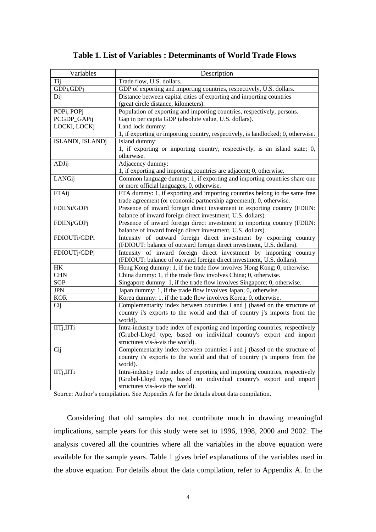## **Table 1. List of Variables : Determinants of World Trade Flows**

| Variables        | Description                                                                      |
|------------------|----------------------------------------------------------------------------------|
| Tij              | Trade flow, U.S. dollars.                                                        |
| GDPi, GDPj       | GDP of exporting and importing countries, respectively, U.S. dollars.            |
| Dij              | Distance between capital cities of exporting and importing countries             |
|                  | (great circle distance, kilometers).                                             |
| POPi, POPj       | Population of exporting and importing countries, respectively, persons.          |
| PCGDP_GAPij      | Gap in per capita GDP (absolute value, U.S. dollars).                            |
| LOCKi, LOCKj     | Land lock dummy:                                                                 |
|                  | 1, if exporting or importing country, respectively, is landlocked; 0, otherwise. |
| ISLANDi, ISLANDj | Island dummy:                                                                    |
|                  | 1, if exporting or importing country, respectively, is an island state; 0,       |
|                  | otherwise.                                                                       |
| ADJij            | Adjacency dummy:                                                                 |
|                  | 1, if exporting and importing countries are adjacent; 0, otherwise.              |
| LANGij           | Common language dummy: 1, if exporting and importing countries share one         |
|                  | or more official languages; 0, otherwise.                                        |
| FTAij            | FTA dummy: 1, if exporting and importing countries belong to the same free       |
|                  | trade agreement (or economic partnership agreement); 0, otherwise.               |
| FDIINi/GDPi      | Presence of inward foreign direct investment in exporting country (FDIIN:        |
|                  | balance of inward foreign direct investment, U.S. dollars).                      |
| FDIINj/GDPj      | Presence of inward foreign direct investment in importing country (FDIIN:        |
|                  | balance of inward foreign direct investment, U.S. dollars).                      |
| FDIOUTi/GDPi     | Intensity of outward foreign direct investment by exporting country              |
|                  | (FDIOUT: balance of outward foreign direct investment, U.S. dollars).            |
| FDIOUTj/GDPj     | Intensity of inward foreign direct investment by importing country               |
|                  | (FDIOUT: balance of outward foreign direct investment, U.S. dollars).            |
| $\rm{HK}$        | Hong Kong dummy: 1, if the trade flow involves Hong Kong; 0, otherwise.          |
| <b>CHN</b>       | China dummy: 1, if the trade flow involves China; 0, otherwise.                  |
| SGP              | Singapore dummy: 1, if the trade flow involves Singapore; 0, otherwise.          |
| <b>JPN</b>       | Japan dummy: 1, if the trade flow involves Japan; 0, otherwise.                  |
| <b>KOR</b>       | Korea dummy: 1, if the trade flow involves Korea; 0, otherwise.                  |
| Cij              | Complementarity index between countries i and j (based on the structure of       |
|                  | country i's exports to the world and that of country j's imports from the        |
|                  | world).                                                                          |
| IITj,IITi        | Intra-industry trade index of exporting and importing countries, respectively    |
|                  | (Grubel-Lloyd type, based on individual country's export and import              |
|                  | structures vis-à-vis the world).                                                 |
| Cij              | Complementarity index between countries i and j (based on the structure of       |
|                  | country i's exports to the world and that of country j's imports from the        |
|                  | world).                                                                          |
| IITj,IITi        | Intra-industry trade index of exporting and importing countries, respectively    |
|                  | (Grubel-Lloyd type, based on individual country's export and import              |
|                  | structures vis-à-vis the world).                                                 |

Source: Author's compilation. See Appendix A for the details about data compilation.

Considering that old samples do not contribute much in drawing meaningful implications, sample years for this study were set to 1996, 1998, 2000 and 2002. The analysis covered all the countries where all the variables in the above equation were available for the sample years. Table 1 gives brief explanations of the variables used in the above equation. For details about the data compilation, refer to Appendix A. In the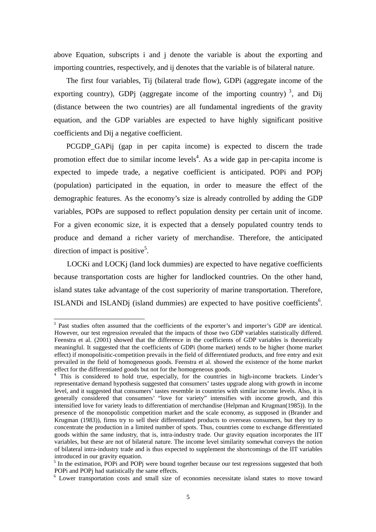above Equation, subscripts i and j denote the variable is about the exporting and importing countries, respectively, and ij denotes that the variable is of bilateral nature.

The first four variables, Tij (bilateral trade flow), GDPi (aggregate income of the exporting country), GDPj (aggregate income of the importing country)<sup>3</sup>, and Dij (distance between the two countries) are all fundamental ingredients of the gravity equation, and the GDP variables are expected to have highly significant positive coefficients and Dij a negative coefficient.

PCGDP\_GAPij (gap in per capita income) is expected to discern the trade promotion effect due to similar income levels<sup>4</sup>. As a wide gap in per-capita income is expected to impede trade, a negative coefficient is anticipated. POPi and POPj (population) participated in the equation, in order to measure the effect of the demographic features. As the economy's size is already controlled by adding the GDP variables, POPs are supposed to reflect population density per certain unit of income. For a given economic size, it is expected that a densely populated country tends to produce and demand a richer variety of merchandise. Therefore, the anticipated direction of impact is positive<sup>5</sup>.

LOCKi and LOCKj (land lock dummies) are expected to have negative coefficients because transportation costs are higher for landlocked countries. On the other hand, island states take advantage of the cost superiority of marine transportation. Therefore, ISLANDi and ISLANDj (island dummies) are expected to have positive coefficients<sup>6</sup>.

l

<sup>&</sup>lt;sup>3</sup> Past studies often assumed that the coefficients of the exporter's and importer's GDP are identical. However, our test regression revealed that the impacts of those two GDP variables statistically differed. Feenstra et al. (2001) showed that the difference in the coefficients of GDP variables is theoretically meaningful. It suggested that the coefficients of GDPi (home market) tends to be higher (home market effect) if monopolisitic-competition prevails in the field of differentiated products, and free entry and exit prevailed in the field of homogeneous goods. Feenstra et al. showed the existence of the home market

effect for the differentiated goods but not for the homogeneous goods.<br><sup>4</sup> This is considered to hold true, especially, for the countries in high-income brackets. Linder's representative demand hypothesis suggested that consumers' tastes upgrade along with growth in income level, and it suggested that consumers' tastes resemble in countries with similar income levels. Also, it is generally considered that consumers' "love for variety" intensifies with income growth, and this intensified love for variety leads to differentiation of merchandise (Helpman and Krugman(1985)). In the presence of the monopolistic competition market and the scale economy, as supposed in (Brander and Krugman (1983)), firms try to sell their differentiated products to overseas consumers, but they try to concentrate the production in a limited number of spots. Thus, countries come to exchange differentiated goods within the same industry, that is, intra-industry trade. Our gravity equation incorporates the IIT variables, but these are not of bilateral nature. The income level similarity somewhat conveys the notion of bilateral intra-industry trade and is thus expected to supplement the shortcomings of the IIT variables introduced in our gravity equation.

<sup>&</sup>lt;sup>5</sup> In the estimation, POPi and POPj were bound together because our test regressions suggested that both POPi and POP<sub>i</sub> had statistically the same effects.

<sup>&</sup>lt;sup>6</sup> Lower transportation costs and small size of economies necessitate island states to move toward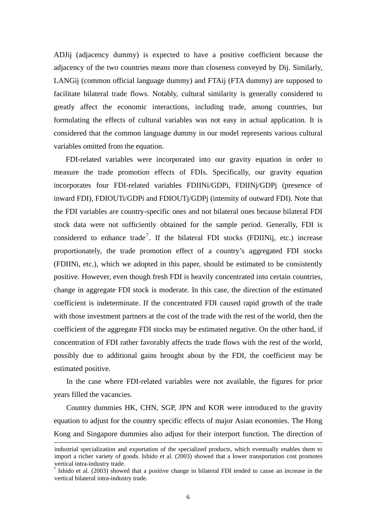ADJij (adjacency dummy) is expected to have a positive coefficient because the adjacency of the two countries means more than closeness conveyed by Dij. Similarly, LANGij (common official language dummy) and FTAij (FTA dummy) are supposed to facilitate bilateral trade flows. Notably, cultural similarity is generally considered to greatly affect the economic interactions, including trade, among countries, but formulating the effects of cultural variables was not easy in actual application. It is considered that the common language dummy in our model represents various cultural variables omitted from the equation.

FDI-related variables were incorporated into our gravity equation in order to measure the trade promotion effects of FDIs. Specifically, our gravity equation incorporates four FDI-related variables FDIINi/GDPi, FDIINj/GDPj (presence of inward FDI), FDIOUTi/GDPi and FDIOUTj/GDPj (intensity of outward FDI). Note that the FDI variables are country-specific ones and not bilateral ones because bilateral FDI stock data were not sufficiently obtained for the sample period. Generally, FDI is considered to enhance trade<sup>7</sup>. If the bilateral FDI stocks (FDIINij, etc.) increase proportionately, the trade promotion effect of a country's aggregated FDI stocks (FDIINi, etc.), which we adopted in this paper, should be estimated to be consistently positive. However, even though fresh FDI is heavily concentrated into certain countries, change in aggregate FDI stock is moderate. In this case, the direction of the estimated coefficient is indeterminate. If the concentrated FDI caused rapid growth of the trade with those investment partners at the cost of the trade with the rest of the world, then the coefficient of the aggregate FDI stocks may be estimated negative. On the other hand, if concentration of FDI rather favorably affects the trade flows with the rest of the world, possibly due to additional gains brought about by the FDI, the coefficient may be estimated positive.

In the case where FDI-related variables were not available, the figures for prior years filled the vacancies.

Country dummies HK, CHN, SGP, JPN and KOR were introduced to the gravity equation to adjust for the country specific effects of major Asian economies. The Hong Kong and Singapore dummies also adjust for their interport function. The direction of

industrial specialization and exportation of the specialized products, which eventually enables them to import a richer variety of goods. Ishido et al. (2003) showed that a lower transportation cost promotes vertical intra-industry trade.

<sup>&</sup>lt;sup>7</sup> Ishido et al. (2003) showed that a positive change in bilateral FDI tended to cause an increase in the vertical bilateral intra-industry trade.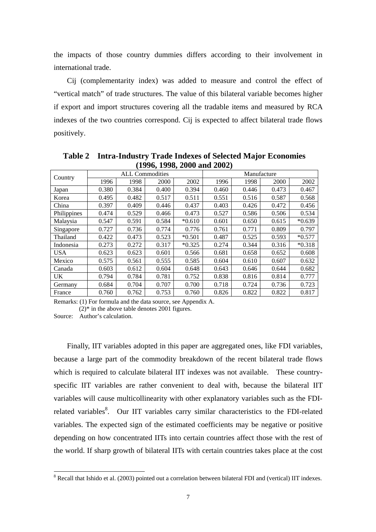the impacts of those country dummies differs according to their involvement in international trade.

Cij (complementarity index) was added to measure and control the effect of "vertical match" of trade structures. The value of this bilateral variable becomes higher if export and import structures covering all the tradable items and measured by RCA indexes of the two countries correspond. Cij is expected to affect bilateral trade flows positively.

| $1770$ , $1770$ , $2000$ and $2002$ |       |       |                        |          |             |       |       |          |  |  |
|-------------------------------------|-------|-------|------------------------|----------|-------------|-------|-------|----------|--|--|
| Country                             |       |       | <b>ALL Commodities</b> |          | Manufacture |       |       |          |  |  |
|                                     | 1996  | 1998  | 2000                   | 2002     | 1996        | 1998  | 2000  | 2002     |  |  |
| Japan                               | 0.380 | 0.384 | 0.400                  | 0.394    | 0.460       | 0.446 | 0.473 | 0.467    |  |  |
| Korea                               | 0.495 | 0.482 | 0.517                  | 0.511    | 0.551       | 0.516 | 0.587 | 0.568    |  |  |
| China                               | 0.397 | 0.409 | 0.446                  | 0.437    | 0.403       | 0.426 | 0.472 | 0.456    |  |  |
| Philippines                         | 0.474 | 0.529 | 0.466                  | 0.473    | 0.527       | 0.586 | 0.506 | 0.534    |  |  |
| Malaysia                            | 0.547 | 0.591 | 0.584                  | $*0.610$ | 0.601       | 0.650 | 0.615 | $*0.639$ |  |  |
| Singapore                           | 0.727 | 0.736 | 0.774                  | 0.776    | 0.761       | 0.771 | 0.809 | 0.797    |  |  |
| Thailand                            | 0.422 | 0.473 | 0.523                  | $*0.501$ | 0.487       | 0.525 | 0.593 | $*0.577$ |  |  |
| Indonesia                           | 0.273 | 0.272 | 0.317                  | $*0.325$ | 0.274       | 0.344 | 0.316 | $*0.318$ |  |  |
| <b>USA</b>                          | 0.623 | 0.623 | 0.601                  | 0.566    | 0.681       | 0.658 | 0.652 | 0.608    |  |  |
| Mexico                              | 0.575 | 0.561 | 0.555                  | 0.585    | 0.604       | 0.610 | 0.607 | 0.632    |  |  |
| Canada                              | 0.603 | 0.612 | 0.604                  | 0.648    | 0.643       | 0.646 | 0.644 | 0.682    |  |  |
| <b>UK</b>                           | 0.794 | 0.784 | 0.781                  | 0.752    | 0.838       | 0.816 | 0.814 | 0.777    |  |  |
| Germany                             | 0.684 | 0.704 | 0.707                  | 0.700    | 0.718       | 0.724 | 0.736 | 0.723    |  |  |
| France                              | 0.760 | 0.762 | 0.753                  | 0.760    | 0.826       | 0.822 | 0.822 | 0.817    |  |  |

**Table 2 Intra-Industry Trade Indexes of Selected Major Economies (1996, 1998, 2000 and 2002)** 

Remarks: (1) For formula and the data source, see Appendix A.

 $(2)$ <sup>\*</sup> in the above table denotes 2001 figures.

Source: Author's calculation.

Finally, IIT variables adopted in this paper are aggregated ones, like FDI variables, because a large part of the commodity breakdown of the recent bilateral trade flows which is required to calculate bilateral IIT indexes was not available. These countryspecific IIT variables are rather convenient to deal with, because the bilateral IIT variables will cause multicollinearity with other explanatory variables such as the FDIrelated variables<sup>8</sup>. Our IIT variables carry similar characteristics to the FDI-related variables. The expected sign of the estimated coefficients may be negative or positive depending on how concentrated IITs into certain countries affect those with the rest of the world. If sharp growth of bilateral IITs with certain countries takes place at the cost

<sup>&</sup>lt;sup>8</sup> Recall that Ishido et al. (2003) pointed out a correlation between bilateral FDI and (vertical) IIT indexes.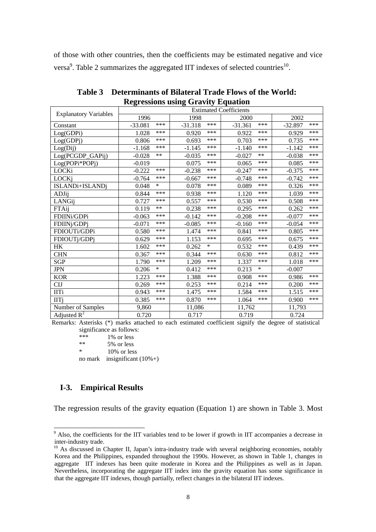of those with other countries, then the coefficients may be estimated negative and vice versa<sup>9</sup>. Table 2 summarizes the aggregated IIT indexes of selected countries<sup>10</sup>.

|                              | <b>Estimated Coefficients</b> |              |                 |              |  |  |  |  |  |
|------------------------------|-------------------------------|--------------|-----------------|--------------|--|--|--|--|--|
| <b>Explanatory Variables</b> | 1996                          | 1998         | 2000            | 2002         |  |  |  |  |  |
| Constant                     | ***                           | ***          | ***             | ***          |  |  |  |  |  |
|                              | $-33.081$                     | $-31.318$    | $-31.361$       | $-32.897$    |  |  |  |  |  |
| Log(GDPi)                    | ***                           | ***          | $***$           | ***          |  |  |  |  |  |
|                              | 1.028                         | 0.920        | 0.922           | 0.929        |  |  |  |  |  |
| Log(GDPj)                    | ***                           | ***          | ***             | ***          |  |  |  |  |  |
|                              | 0.806                         | 0.693        | 0.703           | 0.735        |  |  |  |  |  |
| Log(Dij)                     | ***                           | ***          | ***             | ***          |  |  |  |  |  |
|                              | $-1.168$                      | $-1.145$     | $-1.140$        | $-1.142$     |  |  |  |  |  |
| Log(PCGDP_GAPij)             | **                            | ***          | $***$           | ***          |  |  |  |  |  |
|                              | $-0.028$                      | $-0.035$     | $-0.027$        | $-0.038$     |  |  |  |  |  |
| Log(POPi*POPj)               | $-0.019$                      | ***<br>0.075 | $***$<br>0.065  | ***<br>0.085 |  |  |  |  |  |
| LOCKi                        | ***                           | ***          | ***             | ***          |  |  |  |  |  |
|                              | $-0.222$                      | $-0.238$     | $-0.247$        | $-0.375$     |  |  |  |  |  |
| LOCKj                        | ***                           | ***          | $***$           | ***          |  |  |  |  |  |
|                              | $-0.764$                      | $-0.667$     | $-0.748$        | $-0.742$     |  |  |  |  |  |
| ISLANDi+ISLANDj              | $\ast$                        | ***          | $***$           | ***          |  |  |  |  |  |
|                              | 0.048                         | 0.078        | 0.089           | 0.326        |  |  |  |  |  |
| ADJij                        | ***                           | ***          | ***             | ***          |  |  |  |  |  |
|                              | 0.844                         | 0.938        | 1.120           | 1.039        |  |  |  |  |  |
| LANGij                       | ***                           | 0.557        | ***             | ***          |  |  |  |  |  |
|                              | 0.727                         | ***          | 0.530           | 0.508        |  |  |  |  |  |
| FTAij                        | **                            | ***          | $***$           | ***          |  |  |  |  |  |
|                              | 0.119                         | 0.238        | 0.295           | 0.262        |  |  |  |  |  |
| FDIINi/GDPi                  | ***                           | ***          | ***             | ***          |  |  |  |  |  |
|                              | $-0.063$                      | $-0.142$     | $-0.208$        | $-0.077$     |  |  |  |  |  |
| FDIINj/GDPj                  | ***                           | ***          | $***$           | ***          |  |  |  |  |  |
|                              | $-0.071$                      | $-0.085$     | $-0.160$        | $-0.054$     |  |  |  |  |  |
| FDIOUTi/GDPi                 | ***                           | ***          | $***$           | ***          |  |  |  |  |  |
|                              | 0.580                         | 1.474        | 0.841           | 0.805        |  |  |  |  |  |
| FDIOUTj/GDPj                 | ***                           | ***          | ***             | ***          |  |  |  |  |  |
|                              | 0.629                         | 1.153        | 0.695           | 0.675        |  |  |  |  |  |
| HK                           | ***                           | $\ast$       | $***$           | ***          |  |  |  |  |  |
|                              | 1.602                         | 0.262        | 0.532           | 0.439        |  |  |  |  |  |
| <b>CHN</b>                   | ***                           | ***          | $***$           | ***          |  |  |  |  |  |
|                              | 0.367                         | 0.344        | 0.630           | 0.812        |  |  |  |  |  |
| <b>SGP</b>                   | ***                           | ***          | ***             | ***          |  |  |  |  |  |
|                              | 1.790                         | 1.209        | 1.337           | 1.018        |  |  |  |  |  |
| <b>JPN</b>                   | $\ast$<br>0.206               | ***<br>0.412 | $\ast$<br>0.213 | $-0.007$     |  |  |  |  |  |
| <b>KOR</b>                   | ***                           | ***          | ***             | ***          |  |  |  |  |  |
|                              | 1.223                         | 1.388        | 0.908           | 0.986        |  |  |  |  |  |
| <b>CIJ</b>                   | ***                           | ***          | ***             | ***          |  |  |  |  |  |
|                              | 0.269                         | 0.253        | 0.214           | 0.200        |  |  |  |  |  |
| <b>IITi</b>                  | ***                           | ***          | ***             | ***          |  |  |  |  |  |
|                              | 0.943                         | 1.475        | 1.584           | 1.515        |  |  |  |  |  |
| <b>IITi</b>                  | ***                           | ***          | $***$           | ***          |  |  |  |  |  |
|                              | 0.385                         | 0.870        | 1.064           | 0.900        |  |  |  |  |  |
| Number of Samples            | 9,860                         | 11,086       | 11,762          | 11,793       |  |  |  |  |  |
| Adjusted $R^2$               | 0.720                         | 0.717        | 0.719           | 0.724        |  |  |  |  |  |

**Table 3 Determinants of Bilateral Trade Flows of the World: Regressions using Gravity Equation**

Remarks: Asterisks (\*) marks attached to each estimated coefficient signify the degree of statistical significance as follows:

\*\*\*  $1\% \text{ or less}$ <br>\*\*  $5\% \text{ or less}$ \*\*  $5\%$  or less<br>\*  $10\%$  or less  $10\%$  or less no mark insignificant  $(10\%+)$ 

## **I-3. Empirical Results**

The regression results of the gravity equation (Equation 1) are shown in Table 3. Most

<sup>&</sup>lt;sup>9</sup> Also, the coefficients for the IIT variables tend to be lower if growth in IIT accompanies a decrease in inter-industry trade.

<sup>&</sup>lt;sup>10</sup> As discussed in Chapter II, Japan's intra-industry trade with several neighboring economies, notably Korea and the Philippines, expanded throughout the 1990s. However, as shown in Table 1, changes in aggregate IIT indexes has been quite moderate in Korea and the Philippines as well as in Japan. Nevertheless, incorporating the aggregate IIT index into the gravity equation has some significance in that the aggregate IIT indexes, though partially, reflect changes in the bilateral IIT indexes.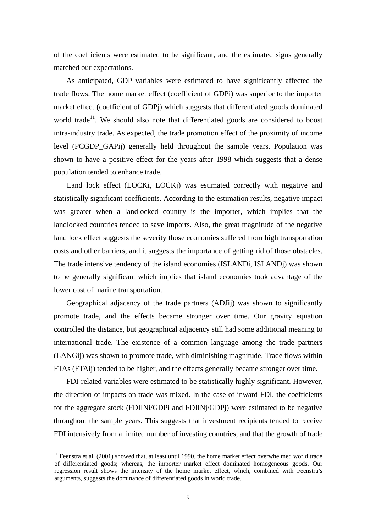of the coefficients were estimated to be significant, and the estimated signs generally matched our expectations.

As anticipated, GDP variables were estimated to have significantly affected the trade flows. The home market effect (coefficient of GDPi) was superior to the importer market effect (coefficient of GDPj) which suggests that differentiated goods dominated world trade<sup>11</sup>. We should also note that differentiated goods are considered to boost intra-industry trade. As expected, the trade promotion effect of the proximity of income level (PCGDP\_GAPij) generally held throughout the sample years. Population was shown to have a positive effect for the years after 1998 which suggests that a dense population tended to enhance trade.

Land lock effect (LOCKi, LOCKj) was estimated correctly with negative and statistically significant coefficients. According to the estimation results, negative impact was greater when a landlocked country is the importer, which implies that the landlocked countries tended to save imports. Also, the great magnitude of the negative land lock effect suggests the severity those economies suffered from high transportation costs and other barriers, and it suggests the importance of getting rid of those obstacles. The trade intensive tendency of the island economies (ISLANDi, ISLANDj) was shown to be generally significant which implies that island economies took advantage of the lower cost of marine transportation.

Geographical adjacency of the trade partners (ADJij) was shown to significantly promote trade, and the effects became stronger over time. Our gravity equation controlled the distance, but geographical adjacency still had some additional meaning to international trade. The existence of a common language among the trade partners (LANGij) was shown to promote trade, with diminishing magnitude. Trade flows within FTAs (FTAij) tended to be higher, and the effects generally became stronger over time.

FDI-related variables were estimated to be statistically highly significant. However, the direction of impacts on trade was mixed. In the case of inward FDI, the coefficients for the aggregate stock (FDIINi/GDPi and FDIINj/GDPj) were estimated to be negative throughout the sample years. This suggests that investment recipients tended to receive FDI intensively from a limited number of investing countries, and that the growth of trade

l

 $11$  Feenstra et al. (2001) showed that, at least until 1990, the home market effect overwhelmed world trade of differentiated goods; whereas, the importer market effect dominated homogeneous goods. Our regression result shows the intensity of the home market effect, which, combined with Feenstra's arguments, suggests the dominance of differentiated goods in world trade.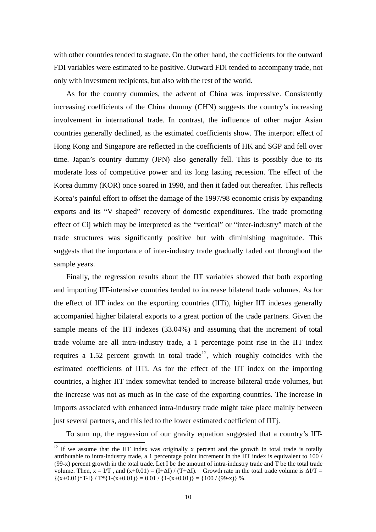with other countries tended to stagnate. On the other hand, the coefficients for the outward FDI variables were estimated to be positive. Outward FDI tended to accompany trade, not only with investment recipients, but also with the rest of the world.

As for the country dummies, the advent of China was impressive. Consistently increasing coefficients of the China dummy (CHN) suggests the country's increasing involvement in international trade. In contrast, the influence of other major Asian countries generally declined, as the estimated coefficients show. The interport effect of Hong Kong and Singapore are reflected in the coefficients of HK and SGP and fell over time. Japan's country dummy (JPN) also generally fell. This is possibly due to its moderate loss of competitive power and its long lasting recession. The effect of the Korea dummy (KOR) once soared in 1998, and then it faded out thereafter. This reflects Korea's painful effort to offset the damage of the 1997/98 economic crisis by expanding exports and its "V shaped" recovery of domestic expenditures. The trade promoting effect of Cij which may be interpreted as the "vertical" or "inter-industry" match of the trade structures was significantly positive but with diminishing magnitude. This suggests that the importance of inter-industry trade gradually faded out throughout the sample years.

Finally, the regression results about the IIT variables showed that both exporting and importing IIT-intensive countries tended to increase bilateral trade volumes. As for the effect of IIT index on the exporting countries (IITi), higher IIT indexes generally accompanied higher bilateral exports to a great portion of the trade partners. Given the sample means of the IIT indexes (33.04%) and assuming that the increment of total trade volume are all intra-industry trade, a 1 percentage point rise in the IIT index requires a 1.52 percent growth in total trade<sup>12</sup>, which roughly coincides with the estimated coefficients of IITi. As for the effect of the IIT index on the importing countries, a higher IIT index somewhat tended to increase bilateral trade volumes, but the increase was not as much as in the case of the exporting countries. The increase in imports associated with enhanced intra-industry trade might take place mainly between just several partners, and this led to the lower estimated coefficient of IITj.

To sum up, the regression of our gravity equation suggested that a country's IIT-

<sup>&</sup>lt;sup>12</sup> If we assume that the IIT index was originally x percent and the growth in total trade is totally attributable to intra-industry trade, a 1 percentage point increment in the IIT index is equivalent to 100 / (99-x) percent growth in the total trade. Let I be the amount of intra-industry trade and T be the total trade volume. Then,  $x = I/T$ , and  $(x+0.01) = (I+\Delta I)/ (T+\Delta I)$ . Growth rate in the total trade volume is  $\Delta I/T =$  $\{(x+0.01)^*T-I\} / T^*\{1-(x+0.01)\} = 0.01 / \{1-(x+0.01)\} = \{100 / (99-x)\}$  %.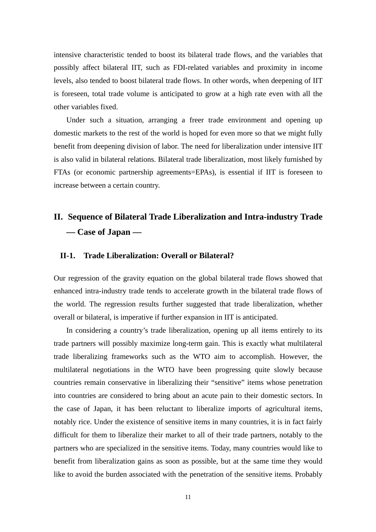intensive characteristic tended to boost its bilateral trade flows, and the variables that possibly affect bilateral IIT, such as FDI-related variables and proximity in income levels, also tended to boost bilateral trade flows. In other words, when deepening of IIT is foreseen, total trade volume is anticipated to grow at a high rate even with all the other variables fixed.

Under such a situation, arranging a freer trade environment and opening up domestic markets to the rest of the world is hoped for even more so that we might fully benefit from deepening division of labor. The need for liberalization under intensive IIT is also valid in bilateral relations. Bilateral trade liberalization, most likely furnished by FTAs (or economic partnership agreements=EPAs), is essential if IIT is foreseen to increase between a certain country.

# **II. Sequence of Bilateral Trade Liberalization and Intra-industry Trade –– Case of Japan ––**

### **II-1. Trade Liberalization: Overall or Bilateral?**

Our regression of the gravity equation on the global bilateral trade flows showed that enhanced intra-industry trade tends to accelerate growth in the bilateral trade flows of the world. The regression results further suggested that trade liberalization, whether overall or bilateral, is imperative if further expansion in IIT is anticipated.

In considering a country's trade liberalization, opening up all items entirely to its trade partners will possibly maximize long-term gain. This is exactly what multilateral trade liberalizing frameworks such as the WTO aim to accomplish. However, the multilateral negotiations in the WTO have been progressing quite slowly because countries remain conservative in liberalizing their "sensitive" items whose penetration into countries are considered to bring about an acute pain to their domestic sectors. In the case of Japan, it has been reluctant to liberalize imports of agricultural items, notably rice. Under the existence of sensitive items in many countries, it is in fact fairly difficult for them to liberalize their market to all of their trade partners, notably to the partners who are specialized in the sensitive items. Today, many countries would like to benefit from liberalization gains as soon as possible, but at the same time they would like to avoid the burden associated with the penetration of the sensitive items. Probably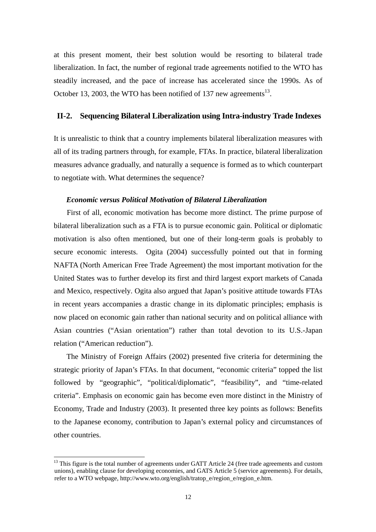at this present moment, their best solution would be resorting to bilateral trade liberalization. In fact, the number of regional trade agreements notified to the WTO has steadily increased, and the pace of increase has accelerated since the 1990s. As of October 13, 2003, the WTO has been notified of 137 new agreements<sup>13</sup>.

## **II-2. Sequencing Bilateral Liberalization using Intra-industry Trade Indexes**

It is unrealistic to think that a country implements bilateral liberalization measures with all of its trading partners through, for example, FTAs. In practice, bilateral liberalization measures advance gradually, and naturally a sequence is formed as to which counterpart to negotiate with. What determines the sequence?

#### *Economic versus Political Motivation of Bilateral Liberalization*

First of all, economic motivation has become more distinct. The prime purpose of bilateral liberalization such as a FTA is to pursue economic gain. Political or diplomatic motivation is also often mentioned, but one of their long-term goals is probably to secure economic interests. Ogita (2004) successfully pointed out that in forming NAFTA (North American Free Trade Agreement) the most important motivation for the United States was to further develop its first and third largest export markets of Canada and Mexico, respectively. Ogita also argued that Japan's positive attitude towards FTAs in recent years accompanies a drastic change in its diplomatic principles; emphasis is now placed on economic gain rather than national security and on political alliance with Asian countries ("Asian orientation") rather than total devotion to its U.S.-Japan relation ("American reduction").

The Ministry of Foreign Affairs (2002) presented five criteria for determining the strategic priority of Japan's FTAs. In that document, "economic criteria" topped the list followed by "geographic", "political/diplomatic", "feasibility", and "time-related criteria". Emphasis on economic gain has become even more distinct in the Ministry of Economy, Trade and Industry (2003). It presented three key points as follows: Benefits to the Japanese economy, contribution to Japan's external policy and circumstances of other countries.

l

 $13$  This figure is the total number of agreements under GATT Article 24 (free trade agreements and custom unions), enabling clause for developing economies, and GATS Article 5 (service agreements). For details, refer to a WTO webpage, http://www.wto.org/english/tratop\_e/region\_e/region\_e.htm.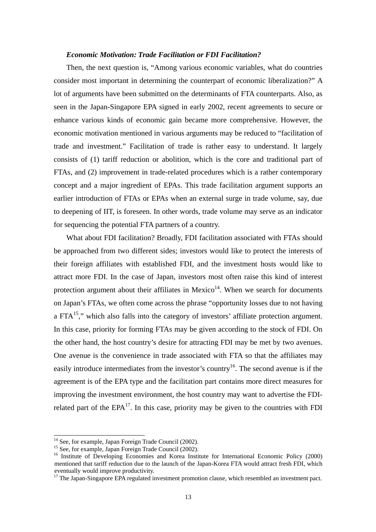#### *Economic Motivation: Trade Facilitation or FDI Facilitation?*

Then, the next question is, "Among various economic variables, what do countries consider most important in determining the counterpart of economic liberalization?" A lot of arguments have been submitted on the determinants of FTA counterparts. Also, as seen in the Japan-Singapore EPA signed in early 2002, recent agreements to secure or enhance various kinds of economic gain became more comprehensive. However, the economic motivation mentioned in various arguments may be reduced to "facilitation of trade and investment." Facilitation of trade is rather easy to understand. It largely consists of (1) tariff reduction or abolition, which is the core and traditional part of FTAs, and (2) improvement in trade-related procedures which is a rather contemporary concept and a major ingredient of EPAs. This trade facilitation argument supports an earlier introduction of FTAs or EPAs when an external surge in trade volume, say, due to deepening of IIT, is foreseen. In other words, trade volume may serve as an indicator for sequencing the potential FTA partners of a country.

What about FDI facilitation? Broadly, FDI facilitation associated with FTAs should be approached from two different sides; investors would like to protect the interests of their foreign affiliates with established FDI, and the investment hosts would like to attract more FDI. In the case of Japan, investors most often raise this kind of interest protection argument about their affiliates in Mexico $14$ . When we search for documents on Japan's FTAs, we often come across the phrase "opportunity losses due to not having a FTA $<sup>15</sup>$ ," which also falls into the category of investors' affiliate protection argument.</sup> In this case, priority for forming FTAs may be given according to the stock of FDI. On the other hand, the host country's desire for attracting FDI may be met by two avenues. One avenue is the convenience in trade associated with FTA so that the affiliates may easily introduce intermediates from the investor's country<sup>16</sup>. The second avenue is if the agreement is of the EPA type and the facilitation part contains more direct measures for improving the investment environment, the host country may want to advertise the FDIrelated part of the  $EPA<sup>17</sup>$ . In this case, priority may be given to the countries with FDI

l

<sup>&</sup>lt;sup>14</sup> See, for example, Japan Foreign Trade Council (2002).

<sup>&</sup>lt;sup>15</sup> See, for example, Japan Foreign Trade Council (2002).

<sup>&</sup>lt;sup>16</sup> Institute of Developing Economies and Korea Institute for International Economic Policy (2000) mentioned that tariff reduction due to the launch of the Japan-Korea FTA would attract fresh FDI, which eventually would improve productivity.

<sup>&</sup>lt;sup>17</sup> The Japan-Singapore EPA regulated investment promotion clause, which resembled an investment pact.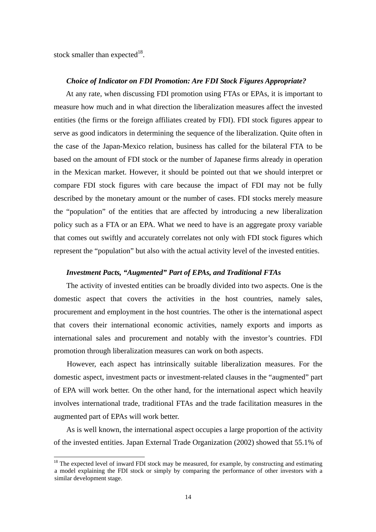stock smaller than expected<sup>18</sup>.

l

#### *Choice of Indicator on FDI Promotion: Are FDI Stock Figures Appropriate?*

At any rate, when discussing FDI promotion using FTAs or EPAs, it is important to measure how much and in what direction the liberalization measures affect the invested entities (the firms or the foreign affiliates created by FDI). FDI stock figures appear to serve as good indicators in determining the sequence of the liberalization. Quite often in the case of the Japan-Mexico relation, business has called for the bilateral FTA to be based on the amount of FDI stock or the number of Japanese firms already in operation in the Mexican market. However, it should be pointed out that we should interpret or compare FDI stock figures with care because the impact of FDI may not be fully described by the monetary amount or the number of cases. FDI stocks merely measure the "population" of the entities that are affected by introducing a new liberalization policy such as a FTA or an EPA. What we need to have is an aggregate proxy variable that comes out swiftly and accurately correlates not only with FDI stock figures which represent the "population" but also with the actual activity level of the invested entities.

#### *Investment Pacts, "Augmented" Part of EPAs, and Traditional FTAs*

The activity of invested entities can be broadly divided into two aspects. One is the domestic aspect that covers the activities in the host countries, namely sales, procurement and employment in the host countries. The other is the international aspect that covers their international economic activities, namely exports and imports as international sales and procurement and notably with the investor's countries. FDI promotion through liberalization measures can work on both aspects.

However, each aspect has intrinsically suitable liberalization measures. For the domestic aspect, investment pacts or investment-related clauses in the "augmented" part of EPA will work better. On the other hand, for the international aspect which heavily involves international trade, traditional FTAs and the trade facilitation measures in the augmented part of EPAs will work better.

As is well known, the international aspect occupies a large proportion of the activity of the invested entities. Japan External Trade Organization (2002) showed that 55.1% of

 $18$  The expected level of inward FDI stock may be measured, for example, by constructing and estimating a model explaining the FDI stock or simply by comparing the performance of other investors with a similar development stage.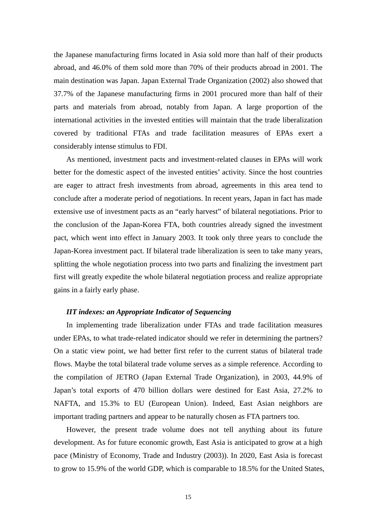the Japanese manufacturing firms located in Asia sold more than half of their products abroad, and 46.0% of them sold more than 70% of their products abroad in 2001. The main destination was Japan. Japan External Trade Organization (2002) also showed that 37.7% of the Japanese manufacturing firms in 2001 procured more than half of their parts and materials from abroad, notably from Japan. A large proportion of the international activities in the invested entities will maintain that the trade liberalization covered by traditional FTAs and trade facilitation measures of EPAs exert a considerably intense stimulus to FDI.

As mentioned, investment pacts and investment-related clauses in EPAs will work better for the domestic aspect of the invested entities' activity. Since the host countries are eager to attract fresh investments from abroad, agreements in this area tend to conclude after a moderate period of negotiations. In recent years, Japan in fact has made extensive use of investment pacts as an "early harvest" of bilateral negotiations. Prior to the conclusion of the Japan-Korea FTA, both countries already signed the investment pact, which went into effect in January 2003. It took only three years to conclude the Japan-Korea investment pact. If bilateral trade liberalization is seen to take many years, splitting the whole negotiation process into two parts and finalizing the investment part first will greatly expedite the whole bilateral negotiation process and realize appropriate gains in a fairly early phase.

#### *IIT indexes: an Appropriate Indicator of Sequencing*

In implementing trade liberalization under FTAs and trade facilitation measures under EPAs, to what trade-related indicator should we refer in determining the partners? On a static view point, we had better first refer to the current status of bilateral trade flows. Maybe the total bilateral trade volume serves as a simple reference. According to the compilation of JETRO (Japan External Trade Organization), in 2003, 44.9% of Japan's total exports of 470 billion dollars were destined for East Asia, 27.2% to NAFTA, and 15.3% to EU (European Union). Indeed, East Asian neighbors are important trading partners and appear to be naturally chosen as FTA partners too.

However, the present trade volume does not tell anything about its future development. As for future economic growth, East Asia is anticipated to grow at a high pace (Ministry of Economy, Trade and Industry (2003)). In 2020, East Asia is forecast to grow to 15.9% of the world GDP, which is comparable to 18.5% for the United States,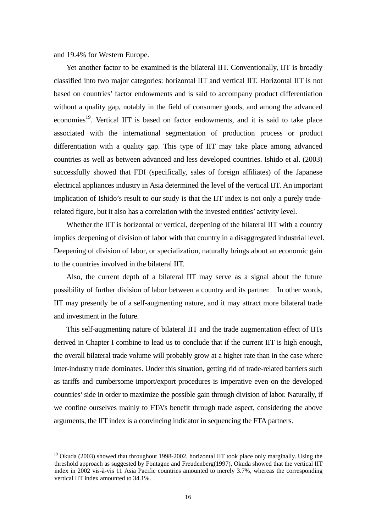and 19.4% for Western Europe.

l

Yet another factor to be examined is the bilateral IIT. Conventionally, IIT is broadly classified into two major categories: horizontal IIT and vertical IIT. Horizontal IIT is not based on countries' factor endowments and is said to accompany product differentiation without a quality gap, notably in the field of consumer goods, and among the advanced economies<sup>19</sup>. Vertical IIT is based on factor endowments, and it is said to take place associated with the international segmentation of production process or product differentiation with a quality gap. This type of IIT may take place among advanced countries as well as between advanced and less developed countries. Ishido et al. (2003) successfully showed that FDI (specifically, sales of foreign affiliates) of the Japanese electrical appliances industry in Asia determined the level of the vertical IIT. An important implication of Ishido's result to our study is that the IIT index is not only a purely traderelated figure, but it also has a correlation with the invested entities' activity level.

Whether the IIT is horizontal or vertical, deepening of the bilateral IIT with a country implies deepening of division of labor with that country in a disaggregated industrial level. Deepening of division of labor, or specialization, naturally brings about an economic gain to the countries involved in the bilateral IIT.

Also, the current depth of a bilateral IIT may serve as a signal about the future possibility of further division of labor between a country and its partner. In other words, IIT may presently be of a self-augmenting nature, and it may attract more bilateral trade and investment in the future.

This self-augmenting nature of bilateral IIT and the trade augmentation effect of IITs derived in Chapter I combine to lead us to conclude that if the current IIT is high enough, the overall bilateral trade volume will probably grow at a higher rate than in the case where inter-industry trade dominates. Under this situation, getting rid of trade-related barriers such as tariffs and cumbersome import/export procedures is imperative even on the developed countries' side in order to maximize the possible gain through division of labor. Naturally, if we confine ourselves mainly to FTA's benefit through trade aspect, considering the above arguments, the IIT index is a convincing indicator in sequencing the FTA partners.

 $19$  Okuda (2003) showed that throughout 1998-2002, horizontal IIT took place only marginally. Using the threshold approach as suggested by Fontagne and Freudenberg(1997), Okuda showed that the vertical IIT index in 2002 vis-à-vis 11 Asia Pacific countries amounted to merely 3.7%, whereas the corresponding vertical IIT index amounted to 34.1%.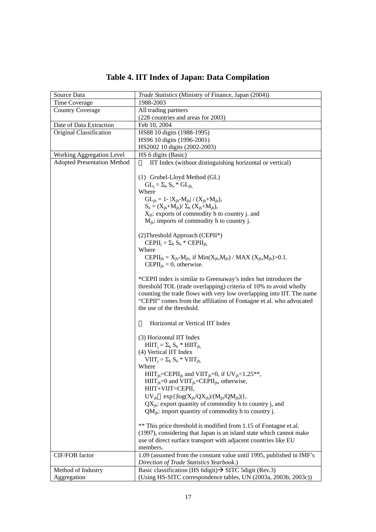| Source Data                        | Trade Statistics (Ministry of Finance, Japan (2004))                                              |
|------------------------------------|---------------------------------------------------------------------------------------------------|
| Time Coverage                      | 1988-2003                                                                                         |
| <b>Country Coverage</b>            | All trading partners                                                                              |
|                                    | (228 countries and areas for 2003)                                                                |
| Date of Data Extraction            | Feb 10, 2004                                                                                      |
| Original Classification            | HS88 10 digits (1988-1995)                                                                        |
|                                    | HS96 10 digits (1996-2001)                                                                        |
|                                    | HS2002 10 digits (2002-2003)                                                                      |
| Working Aggregation Level          | HS 6 digits (Basic)                                                                               |
| <b>Adopted Presentation Method</b> | IIT Index (without distinguishing horizontal or vertical)                                         |
|                                    |                                                                                                   |
|                                    | (1) Grubel-Lloyd Method (GL)                                                                      |
|                                    | $GL_i = \Sigma_h S_h * GL_{ih_i}$                                                                 |
|                                    | Where                                                                                             |
|                                    | $GL_{ih} = 1 -  X_{ih} - M_{ih}  / (X_{ih} + M_{ih}),$                                            |
|                                    | $S_h = (X_{ih} + M_{ih}) / \sum_h (X_{ih} + M_{ih}),$                                             |
|                                    | $X_{ih}$ : exports of commodity h to country j. and                                               |
|                                    | $M_{ih}$ : imports of commodity h to country j.                                                   |
|                                    |                                                                                                   |
|                                    | (2) Threshold Approach (CEPII*)                                                                   |
|                                    | $\text{CEPII}_i = \Sigma_h S_h * \text{CEPII}_{ih}$                                               |
|                                    | Where                                                                                             |
|                                    | CEPII <sub>jh</sub> = $X_{jh} - M_{jh}$ , if $Min(X_{jh}, M_{jh}) / MAX (X_{jh}, M_{jh}) > 0.1$ . |
|                                    | CEPII <sub>ih</sub> = 0, otherwise.                                                               |
|                                    |                                                                                                   |
|                                    | *CEPII index is similar to Greenaway's index but introduces the                                   |
|                                    | threshold TOL (trade overlapping) criteria of 10% to avoid wholly                                 |
|                                    | counting the trade flows with very low overlapping into IIT. The name                             |
|                                    | "CEPII" comes from the affiliation of Fontagne et al. who advocated                               |
|                                    | the use of the threshold.                                                                         |
|                                    |                                                                                                   |
|                                    | Horizontal or Vertical IIT Index                                                                  |
|                                    |                                                                                                   |
|                                    | (3) Horizontal IIT Index                                                                          |
|                                    | $HIT_i = \Sigma_h S_h * HIT_{ih.}$                                                                |
|                                    | (4) Vertical IIT Index                                                                            |
|                                    | $VIIIj = \Sigmah Sh * VIIIjh$                                                                     |
|                                    | Where                                                                                             |
|                                    | $HIT_{ih} = CEPII_{ih}$ and $VIT_{ih} = 0$ , if $UV_{ih} < 1.25**$                                |
|                                    | $HIT_{ih} = 0$ and $VIT_{ih} = CEPII_{ih}$ , otherwise,                                           |
|                                    | HIIT+VIIT=CEPII,                                                                                  |
|                                    | $UV_{ih}$ exp{ $\left  \log(X_{ih}/QX_{ih})/(M_{ih}/QM_{ih}) \right $ },                          |
|                                    | $QX_{ih}$ : export quantity of commodity h to country j, and                                      |
|                                    | $QMih:$ import quantity of commodity h to country j.                                              |
|                                    |                                                                                                   |
|                                    | ** This price threshold is modified from 1.15 of Fontagne et.al.                                  |
|                                    | (1997), considering that Japan is an island state which cannot make                               |
|                                    | use of direct surface transport with adjacent countries like EU                                   |
|                                    | members.                                                                                          |
| CIF/FOB factor                     | 1.09 (assumed from the constant value until 1995, published in IMF's                              |
|                                    | Direction of Trade Statistics Yearbook.)                                                          |
| Method of Industry                 | Basic classification (HS 6digit) $\rightarrow$ SITC 5digit (Rev.3)                                |
| Aggregation                        | (Using HS-SITC correspondence tables, UN (2003a, 2003b, 2003c))                                   |

# **Table 4. IIT Index of Japan: Data Compilation**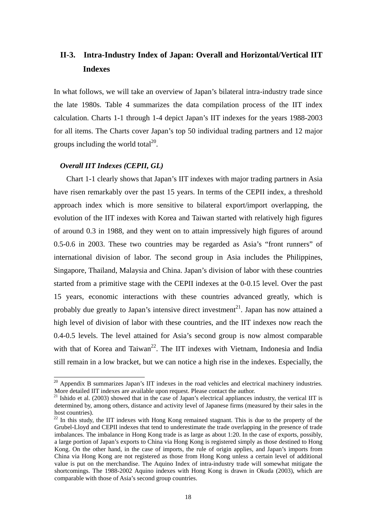## **II-3. Intra-Industry Index of Japan: Overall and Horizontal/Vertical IIT Indexes**

In what follows, we will take an overview of Japan's bilateral intra-industry trade since the late 1980s. Table 4 summarizes the data compilation process of the IIT index calculation. Charts 1-1 through 1-4 depict Japan's IIT indexes for the years 1988-2003 for all items. The Charts cover Japan's top 50 individual trading partners and 12 major groups including the world total $^{20}$ .

## *Overall IIT Indexes (CEPII, GL)*

l

Chart 1-1 clearly shows that Japan's IIT indexes with major trading partners in Asia have risen remarkably over the past 15 years. In terms of the CEPII index, a threshold approach index which is more sensitive to bilateral export/import overlapping, the evolution of the IIT indexes with Korea and Taiwan started with relatively high figures of around 0.3 in 1988, and they went on to attain impressively high figures of around 0.5-0.6 in 2003. These two countries may be regarded as Asia's "front runners" of international division of labor. The second group in Asia includes the Philippines, Singapore, Thailand, Malaysia and China. Japan's division of labor with these countries started from a primitive stage with the CEPII indexes at the 0-0.15 level. Over the past 15 years, economic interactions with these countries advanced greatly, which is probably due greatly to Japan's intensive direct investment<sup>21</sup>. Japan has now attained a high level of division of labor with these countries, and the IIT indexes now reach the 0.4-0.5 levels. The level attained for Asia's second group is now almost comparable with that of Korea and Taiwan<sup>22</sup>. The IIT indexes with Vietnam, Indonesia and India still remain in a low bracket, but we can notice a high rise in the indexes. Especially, the

 $20$  Appendix B summarizes Japan's IIT indexes in the road vehicles and electrical machinery industries. More detailed IIT indexes are available upon request. Please contact the author.<br><sup>21</sup> Ishido et al. (2003) showed that in the case of Japan's electrical appliances industry, the vertical IIT is

determined by, among others, distance and activity level of Japanese firms (measured by their sales in the host countries).

 $22$  In this study, the IIT indexes with Hong Kong remained stagnant. This is due to the property of the Grubel-Lloyd and CEPII indexes that tend to underestimate the trade overlapping in the presence of trade imbalances. The imbalance in Hong Kong trade is as large as about 1:20. In the case of exports, possibly, a large portion of Japan's exports to China via Hong Kong is registered simply as those destined to Hong Kong. On the other hand, in the case of imports, the rule of origin applies, and Japan's imports from China via Hong Kong are not registered as those from Hong Kong unless a certain level of additional value is put on the merchandise. The Aquino Index of intra-industry trade will somewhat mitigate the shortcomings. The 1988-2002 Aquino indexes with Hong Kong is drawn in Okuda (2003), which are comparable with those of Asia's second group countries.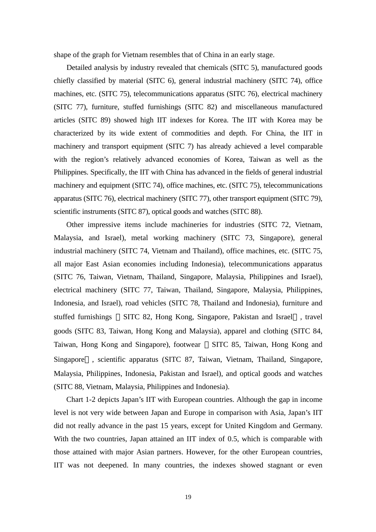shape of the graph for Vietnam resembles that of China in an early stage.

Detailed analysis by industry revealed that chemicals (SITC 5), manufactured goods chiefly classified by material (SITC 6), general industrial machinery (SITC 74), office machines, etc. (SITC 75), telecommunications apparatus (SITC 76), electrical machinery (SITC 77), furniture, stuffed furnishings (SITC 82) and miscellaneous manufactured articles (SITC 89) showed high IIT indexes for Korea. The IIT with Korea may be characterized by its wide extent of commodities and depth. For China, the IIT in machinery and transport equipment (SITC 7) has already achieved a level comparable with the region's relatively advanced economies of Korea, Taiwan as well as the Philippines. Specifically, the IIT with China has advanced in the fields of general industrial machinery and equipment (SITC 74), office machines, etc. (SITC 75), telecommunications apparatus (SITC 76), electrical machinery (SITC 77), other transport equipment (SITC 79), scientific instruments (SITC 87), optical goods and watches (SITC 88).

Other impressive items include machineries for industries (SITC 72, Vietnam, Malaysia, and Israel), metal working machinery (SITC 73, Singapore), general industrial machinery (SITC 74, Vietnam and Thailand), office machines, etc. (SITC 75, all major East Asian economies including Indonesia), telecommunications apparatus (SITC 76, Taiwan, Vietnam, Thailand, Singapore, Malaysia, Philippines and Israel), electrical machinery (SITC 77, Taiwan, Thailand, Singapore, Malaysia, Philippines, Indonesia, and Israel), road vehicles (SITC 78, Thailand and Indonesia), furniture and stuffed furnishings SITC 82, Hong Kong, Singapore, Pakistan and Israel , travel goods (SITC 83, Taiwan, Hong Kong and Malaysia), apparel and clothing (SITC 84, Taiwan, Hong Kong and Singapore), footwear SITC 85, Taiwan, Hong Kong and Singapore , scientific apparatus (SITC 87, Taiwan, Vietnam, Thailand, Singapore, Malaysia, Philippines, Indonesia, Pakistan and Israel), and optical goods and watches (SITC 88, Vietnam, Malaysia, Philippines and Indonesia).

Chart 1-2 depicts Japan's IIT with European countries. Although the gap in income level is not very wide between Japan and Europe in comparison with Asia, Japan's IIT did not really advance in the past 15 years, except for United Kingdom and Germany. With the two countries, Japan attained an IIT index of 0.5, which is comparable with those attained with major Asian partners. However, for the other European countries, IIT was not deepened. In many countries, the indexes showed stagnant or even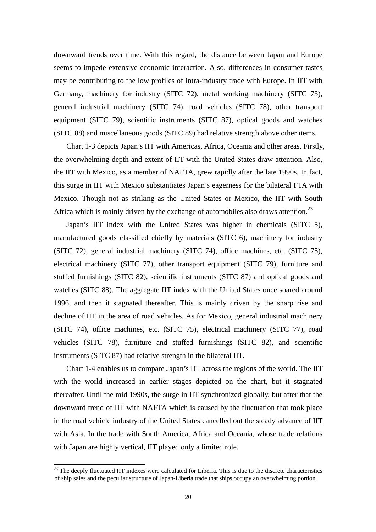downward trends over time. With this regard, the distance between Japan and Europe seems to impede extensive economic interaction. Also, differences in consumer tastes may be contributing to the low profiles of intra-industry trade with Europe. In IIT with Germany, machinery for industry (SITC 72), metal working machinery (SITC 73), general industrial machinery (SITC 74), road vehicles (SITC 78), other transport equipment (SITC 79), scientific instruments (SITC 87), optical goods and watches (SITC 88) and miscellaneous goods (SITC 89) had relative strength above other items.

Chart 1-3 depicts Japan's IIT with Americas, Africa, Oceania and other areas. Firstly, the overwhelming depth and extent of IIT with the United States draw attention. Also, the IIT with Mexico, as a member of NAFTA, grew rapidly after the late 1990s. In fact, this surge in IIT with Mexico substantiates Japan's eagerness for the bilateral FTA with Mexico. Though not as striking as the United States or Mexico, the IIT with South Africa which is mainly driven by the exchange of automobiles also draws attention.<sup>23</sup>

Japan's IIT index with the United States was higher in chemicals (SITC 5), manufactured goods classified chiefly by materials (SITC 6), machinery for industry (SITC 72), general industrial machinery (SITC 74), office machines, etc. (SITC 75), electrical machinery (SITC 77), other transport equipment (SITC 79), furniture and stuffed furnishings (SITC 82), scientific instruments (SITC 87) and optical goods and watches (SITC 88). The aggregate IIT index with the United States once soared around 1996, and then it stagnated thereafter. This is mainly driven by the sharp rise and decline of IIT in the area of road vehicles. As for Mexico, general industrial machinery (SITC 74), office machines, etc. (SITC 75), electrical machinery (SITC 77), road vehicles (SITC 78), furniture and stuffed furnishings (SITC 82), and scientific instruments (SITC 87) had relative strength in the bilateral IIT.

Chart 1-4 enables us to compare Japan's IIT across the regions of the world. The IIT with the world increased in earlier stages depicted on the chart, but it stagnated thereafter. Until the mid 1990s, the surge in IIT synchronized globally, but after that the downward trend of IIT with NAFTA which is caused by the fluctuation that took place in the road vehicle industry of the United States cancelled out the steady advance of IIT with Asia. In the trade with South America, Africa and Oceania, whose trade relations with Japan are highly vertical, IIT played only a limited role.

l

 $^{23}$  The deeply fluctuated IIT indexes were calculated for Liberia. This is due to the discrete characteristics of ship sales and the peculiar structure of Japan-Liberia trade that ships occupy an overwhelming portion.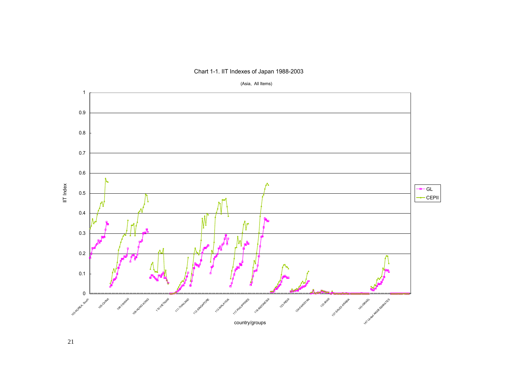

Chart 1-1. IIT Indexes of Japan 1988-2003

(Asia, All Items)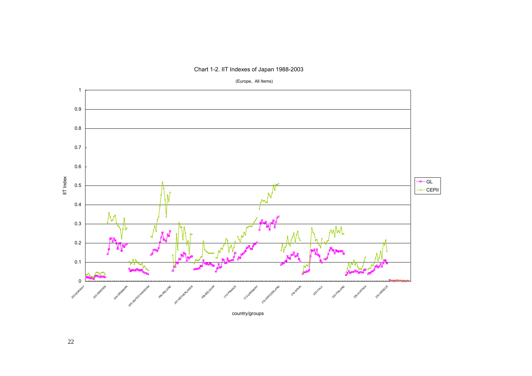

Chart 1-2. IIT Indexes of Japan 1988-2003

(Europe, All Items)

country/groups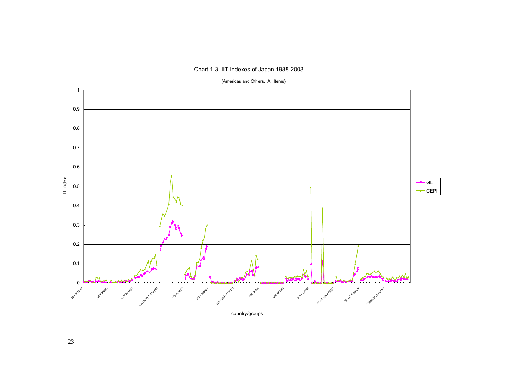#### Chart 1-3. IIT Indexes of Japan 1988-2003



(Americas and Others, All Items)

country/groups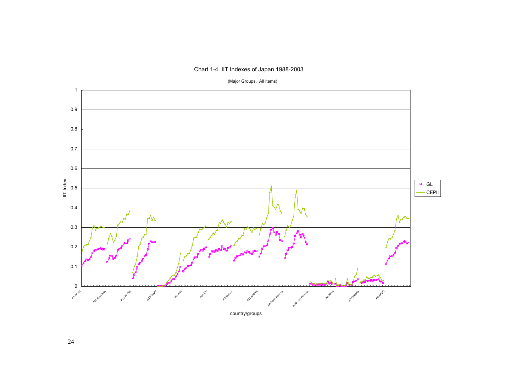



(Major Groups, All Items)

country/groups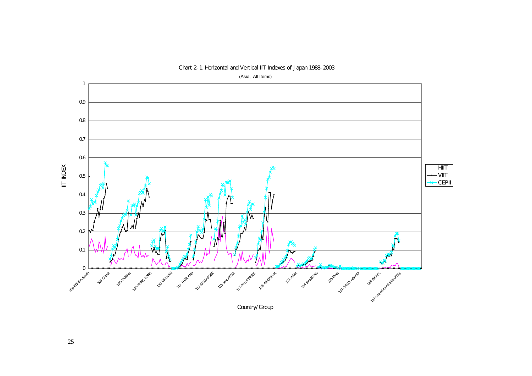

Chart 2-1. Horizontal and Vertical IIT Indexes of Japan 1988-2003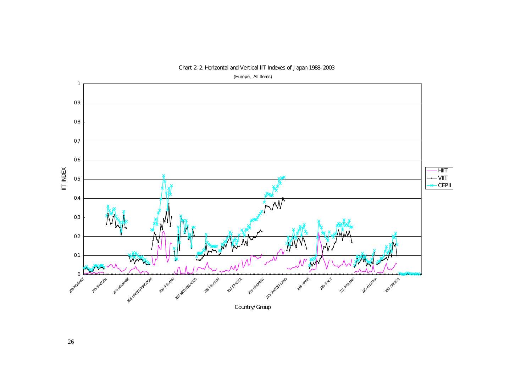

Chart 2-2. Horizontal and Vertical IIT Indexes of Japan 1988-2003

26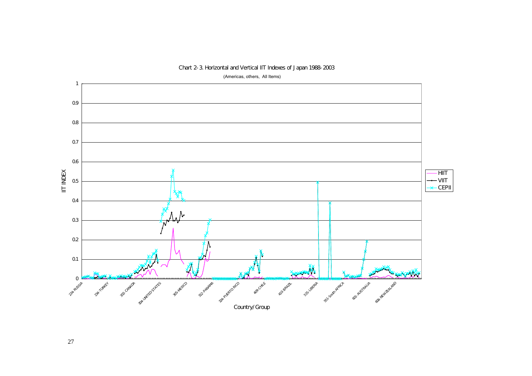

#### Chart 2-3. Horizontal and Vertical IIT Indexes of Japan 1988-2003

27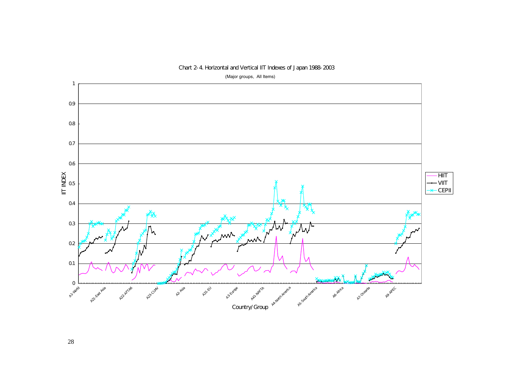

#### Chart 2-4. Horizontal and Vertical IIT Indexes of Japan 1988-2003

28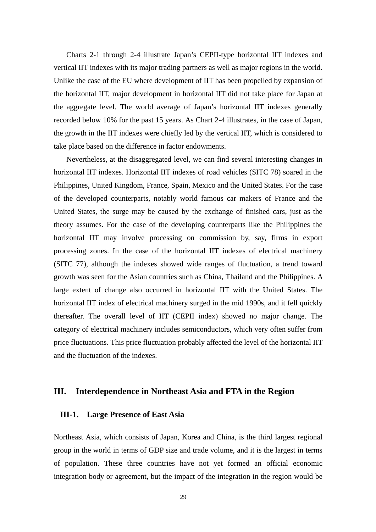Charts 2-1 through 2-4 illustrate Japan's CEPII-type horizontal IIT indexes and vertical IIT indexes with its major trading partners as well as major regions in the world. Unlike the case of the EU where development of IIT has been propelled by expansion of the horizontal IIT, major development in horizontal IIT did not take place for Japan at the aggregate level. The world average of Japan's horizontal IIT indexes generally recorded below 10% for the past 15 years. As Chart 2-4 illustrates, in the case of Japan, the growth in the IIT indexes were chiefly led by the vertical IIT, which is considered to take place based on the difference in factor endowments.

Nevertheless, at the disaggregated level, we can find several interesting changes in horizontal IIT indexes. Horizontal IIT indexes of road vehicles (SITC 78) soared in the Philippines, United Kingdom, France, Spain, Mexico and the United States. For the case of the developed counterparts, notably world famous car makers of France and the United States, the surge may be caused by the exchange of finished cars, just as the theory assumes. For the case of the developing counterparts like the Philippines the horizontal IIT may involve processing on commission by, say, firms in export processing zones. In the case of the horizontal IIT indexes of electrical machinery (SITC 77), although the indexes showed wide ranges of fluctuation, a trend toward growth was seen for the Asian countries such as China, Thailand and the Philippines. A large extent of change also occurred in horizontal IIT with the United States. The horizontal IIT index of electrical machinery surged in the mid 1990s, and it fell quickly thereafter. The overall level of IIT (CEPII index) showed no major change. The category of electrical machinery includes semiconductors, which very often suffer from price fluctuations. This price fluctuation probably affected the level of the horizontal IIT and the fluctuation of the indexes.

## **III. Interdependence in Northeast Asia and FTA in the Region**

## **III-1. Large Presence of East Asia**

Northeast Asia, which consists of Japan, Korea and China, is the third largest regional group in the world in terms of GDP size and trade volume, and it is the largest in terms of population. These three countries have not yet formed an official economic integration body or agreement, but the impact of the integration in the region would be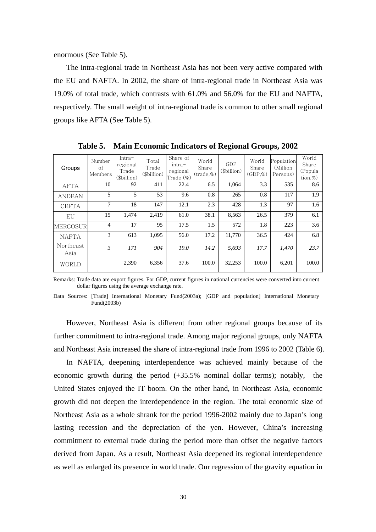enormous (See Table 5).

The intra-regional trade in Northeast Asia has not been very active compared with the EU and NAFTA. In 2002, the share of intra-regional trade in Northeast Asia was 19.0% of total trade, which contrasts with 61.0% and 56.0% for the EU and NAFTA, respectively. The small weight of intra-regional trade is common to other small regional groups like AFTA (See Table 5).

| Groups            | Number<br>of<br>Members | $Intra-$<br>regional<br>Trade<br>(\$billion) | Total<br>Trade<br>(\$billion) | Share of<br>$intra-$<br>regional<br>Trade (%) | World<br>Share<br>(trade,%) | GDP<br>(\$billion) | World<br>Share<br>$(GDP,\%)$ | Population<br>(Million)<br>Persons) | World<br>Share<br>(Popula<br>$\text{tion},\%$ |
|-------------------|-------------------------|----------------------------------------------|-------------------------------|-----------------------------------------------|-----------------------------|--------------------|------------------------------|-------------------------------------|-----------------------------------------------|
| <b>AFTA</b>       | 10                      | 92                                           | 411                           | 22.4                                          | 6.5                         | 1,064              | 3.3                          | 535                                 | 8.6                                           |
| <b>ANDEAN</b>     | 5                       | 5                                            | 53                            | 9.6                                           | 0.8                         | 265                | 0.8                          | 117                                 | 1.9                                           |
| <b>CEFTA</b>      | 7                       | 18                                           | 147                           | 12.1                                          | 2.3                         | 428                | 1.3                          | 97                                  | 1.6                                           |
| EU                | 15                      | 1,474                                        | 2,419                         | 61.0                                          | 38.1                        | 8,563              | 26.5                         | 379                                 | 6.1                                           |
| <b>MERCOSUR</b>   | 4                       | 17                                           | 95                            | 17.5                                          | 1.5                         | 572                | 1.8                          | 223                                 | 3.6                                           |
| <b>NAFTA</b>      | 3                       | 613                                          | 1.095                         | 56.0                                          | 17.2                        | 11.770             | 36.5                         | 424                                 | 6.8                                           |
| Northeast<br>Asia | 3                       | 171                                          | 904                           | 19.0                                          | 14.2                        | 5,693              | 17.7                         | 1,470                               | 23.7                                          |
| <b>WORLD</b>      |                         | 2,390                                        | 6,356                         | 37.6                                          | 100.0                       | 32,253             | 100.0                        | 6,201                               | 100.0                                         |

**Table 5. Main Economic Indicators of Regional Groups, 2002** 

Remarks: Trade data are export figures. For GDP, current figures in national currencies were converted into current dollar figures using the average exchange rate.

Data Sources: [Trade] International Monetary Fund(2003a); [GDP and population] International Monetary Fund(2003b)

However, Northeast Asia is different from other regional groups because of its further commitment to intra-regional trade. Among major regional groups, only NAFTA and Northeast Asia increased the share of intra-regional trade from 1996 to 2002 (Table 6).

In NAFTA, deepening interdependence was achieved mainly because of the economic growth during the period (+35.5% nominal dollar terms); notably, the United States enjoyed the IT boom. On the other hand, in Northeast Asia, economic growth did not deepen the interdependence in the region. The total economic size of Northeast Asia as a whole shrank for the period 1996-2002 mainly due to Japan's long lasting recession and the depreciation of the yen. However, China's increasing commitment to external trade during the period more than offset the negative factors derived from Japan. As a result, Northeast Asia deepened its regional interdependence as well as enlarged its presence in world trade. Our regression of the gravity equation in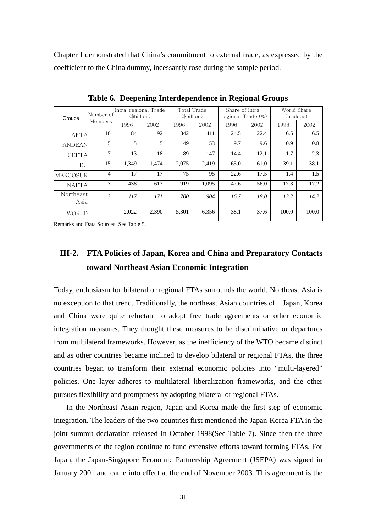Chapter I demonstrated that China's commitment to external trade, as expressed by the coefficient to the China dummy, incessantly rose during the sample period.

| Groups            | Number of      | Intra-regional Trade<br>(\$billion) |       | Total Trade<br>(\$billion) |       | Share of Intra-<br>regional Trade $(\%)$ |      | World Share<br>$(\text{trade.}\%)$ |       |
|-------------------|----------------|-------------------------------------|-------|----------------------------|-------|------------------------------------------|------|------------------------------------|-------|
|                   | Members        | 1996                                | 2002  | 1996                       | 2002  | 1996                                     | 2002 | 1996                               | 2002  |
| <b>AFTA</b>       | 10             | 84                                  | 92    | 342                        | 411   | 24.5                                     | 22.4 | 6.5                                | 6.5   |
| <b>ANDEAN</b>     | 5              | 5                                   | 5     | 49                         | 53    | 9.7                                      | 9.6  | 0.9                                | 0.8   |
| CEFTA             | 7              | 13                                  | 18    | 89                         | 147   | 14.4                                     | 12.1 | 1.7                                | 2.3   |
| EU                | 15             | 1,349                               | 1,474 | 2,075                      | 2.419 | 65.0                                     | 61.0 | 39.1                               | 38.1  |
| MERCOSUR          | $\overline{4}$ | 17                                  | 17    | 75                         | 95    | 22.6                                     | 17.5 | 1.4                                | 1.5   |
| <b>NAFTA</b>      | 3              | 438                                 | 613   | 919                        | 1.095 | 47.6                                     | 56.0 | 17.3                               | 17.2  |
| Northeast<br>Asia | 3              | 117                                 | 171   | 700                        | 904   | 16.7                                     | 19.0 | 13.2                               | 14.2  |
| <b>WORLD</b>      |                | 2,022                               | 2,390 | 5,301                      | 6,356 | 38.1                                     | 37.6 | 100.0                              | 100.0 |

**Table 6. Deepening Interdependence in Regional Groups** 

Remarks and Data Sources: See Table 5.

## **III-2. FTA Policies of Japan, Korea and China and Preparatory Contacts toward Northeast Asian Economic Integration**

Today, enthusiasm for bilateral or regional FTAs surrounds the world. Northeast Asia is no exception to that trend. Traditionally, the northeast Asian countries of Japan, Korea and China were quite reluctant to adopt free trade agreements or other economic integration measures. They thought these measures to be discriminative or departures from multilateral frameworks. However, as the inefficiency of the WTO became distinct and as other countries became inclined to develop bilateral or regional FTAs, the three countries began to transform their external economic policies into "multi-layered" policies. One layer adheres to multilateral liberalization frameworks, and the other pursues flexibility and promptness by adopting bilateral or regional FTAs.

In the Northeast Asian region, Japan and Korea made the first step of economic integration. The leaders of the two countries first mentioned the Japan-Korea FTA in the joint summit declaration released in October 1998(See Table 7). Since then the three governments of the region continue to fund extensive efforts toward forming FTAs. For Japan, the Japan-Singapore Economic Partnership Agreement (JSEPA) was signed in January 2001 and came into effect at the end of November 2003. This agreement is the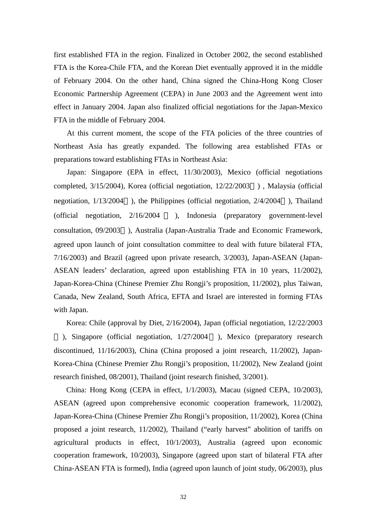first established FTA in the region. Finalized in October 2002, the second established FTA is the Korea-Chile FTA, and the Korean Diet eventually approved it in the middle of February 2004. On the other hand, China signed the China-Hong Kong Closer Economic Partnership Agreement (CEPA) in June 2003 and the Agreement went into effect in January 2004. Japan also finalized official negotiations for the Japan-Mexico FTA in the middle of February 2004.

At this current moment, the scope of the FTA policies of the three countries of Northeast Asia has greatly expanded. The following area established FTAs or preparations toward establishing FTAs in Northeast Asia:

Japan: Singapore (EPA in effect, 11/30/2003), Mexico (official negotiations completed, 3/15/2004), Korea (official negotiation, 12/22/2003 ) , Malaysia (official negotiation, 1/13/2004 ), the Philippines (official negotiation, 2/4/2004 ), Thailand (official negotiation, 2/16/2004 ), Indonesia (preparatory government-level consultation, 09/2003 ), Australia (Japan-Australia Trade and Economic Framework, agreed upon launch of joint consultation committee to deal with future bilateral FTA, 7/16/2003) and Brazil (agreed upon private research, 3/2003), Japan-ASEAN (Japan-ASEAN leaders' declaration, agreed upon establishing FTA in 10 years, 11/2002), Japan-Korea-China (Chinese Premier Zhu Rongji's proposition, 11/2002), plus Taiwan, Canada, New Zealand, South Africa, EFTA and Israel are interested in forming FTAs with Japan.

Korea: Chile (approval by Diet, 2/16/2004), Japan (official negotiation, 12/22/2003

), Singapore (official negotiation, 1/27/2004 ), Mexico (preparatory research discontinued, 11/16/2003), China (China proposed a joint research, 11/2002), Japan-Korea-China (Chinese Premier Zhu Rongji's proposition, 11/2002), New Zealand (joint research finished, 08/2001), Thailand (joint research finished, 3/2001).

China: Hong Kong (CEPA in effect, 1/1/2003), Macau (signed CEPA, 10/2003), ASEAN (agreed upon comprehensive economic cooperation framework, 11/2002), Japan-Korea-China (Chinese Premier Zhu Rongji's proposition, 11/2002), Korea (China proposed a joint research, 11/2002), Thailand ("early harvest" abolition of tariffs on agricultural products in effect, 10/1/2003), Australia (agreed upon economic cooperation framework, 10/2003), Singapore (agreed upon start of bilateral FTA after China-ASEAN FTA is formed), India (agreed upon launch of joint study, 06/2003), plus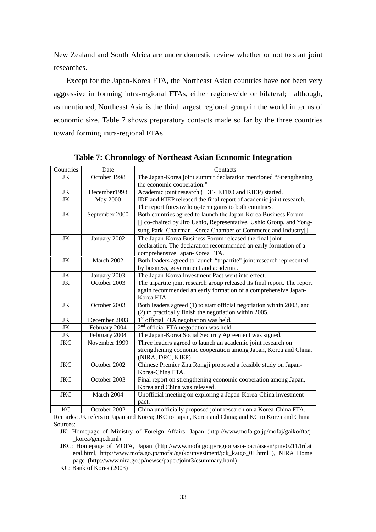New Zealand and South Africa are under domestic review whether or not to start joint researches.

Except for the Japan-Korea FTA, the Northeast Asian countries have not been very aggressive in forming intra-regional FTAs, either region-wide or bilateral; although, as mentioned, Northeast Asia is the third largest regional group in the world in terms of economic size. Table 7 shows preparatory contacts made so far by the three countries toward forming intra-regional FTAs.

| Countries  | Date            | Contacts                                                                  |
|------------|-----------------|---------------------------------------------------------------------------|
| JK         | October 1998    | The Japan-Korea joint summit declaration mentioned "Strengthening         |
|            |                 | the economic cooperation."                                                |
| JK         | December1998    | Academic joint research (IDE-JETRO and KIEP) started.                     |
| JK         | <b>May 2000</b> | IDE and KIEP released the final report of academic joint research.        |
|            |                 | The report foresaw long-term gains to both countries.                     |
| JK         | September 2000  | Both countries agreed to launch the Japan-Korea Business Forum            |
|            |                 | co-chaired by Jiro Ushio, Representative, Ushio Group, and Yong-          |
|            |                 | sung Park, Chairman, Korea Chamber of Commerce and Industry               |
| JK         | January 2002    | The Japan-Korea Business Forum released the final joint                   |
|            |                 | declaration. The declaration recommended an early formation of a          |
|            |                 | comprehensive Japan-Korea FTA.                                            |
| <b>JK</b>  | March 2002      | Both leaders agreed to launch "tripartite" joint research represented     |
|            |                 | by business, government and academia.                                     |
| JK         | January 2003    | The Japan-Korea Investment Pact went into effect.                         |
| JK         | October 2003    | The tripartite joint research group released its final report. The report |
|            |                 | again recommended an early formation of a comprehensive Japan-            |
|            |                 | Korea FTA.                                                                |
| <b>JK</b>  | October 2003    | Both leaders agreed (1) to start official negotiation within 2003, and    |
|            |                 | (2) to practically finish the negotiation within 2005.                    |
| JK         | December 2003   | 1 <sup>st</sup> official FTA negotiation was held.                        |
| JK         | February 2004   | $2nd$ official FTA negotiation was held.                                  |
| JK         | February 2004   | The Japan-Korea Social Security Agreement was signed.                     |
| <b>JKC</b> | November 1999   | Three leaders agreed to launch an academic joint research on              |
|            |                 | strengthening economic cooperation among Japan, Korea and China.          |
|            |                 | (NIRA, DRC, KIEP)                                                         |
| <b>JKC</b> | October 2002    | Chinese Premier Zhu Rongji proposed a feasible study on Japan-            |
|            |                 | Korea-China FTA.                                                          |
| <b>JKC</b> | October 2003    | Final report on strengthening economic cooperation among Japan,           |
|            |                 | Korea and China was released.                                             |
| <b>JKC</b> | March 2004      | Unofficial meeting on exploring a Japan-Korea-China investment            |
|            |                 | pact.                                                                     |
| KC         | October 2002    | China unofficially proposed joint research on a Korea-China FTA.          |

**Table 7: Chronology of Northeast Asian Economic Integration**

Remarks: JK refers to Japan and Korea; JKC to Japan, Korea and China; and KC to Korea and China Sources:

JK: Homepage of Ministry of Foreign Affairs, Japan (http://www.mofa.go.jp/mofaj/gaiko/fta/j \_korea/genjo.html)

JKC: Homepage of MOFA, Japan (http://www.mofa.go.jp/region/asia-paci/asean/pmv0211/trilat eral.html, http://www.mofa.go.jp/mofaj/gaiko/investment/jck\_kaigo\_01.html ), NIRA Home page (http://www.nira.go.jp/newse/paper/joint3/esummary.html)

KC: Bank of Korea (2003)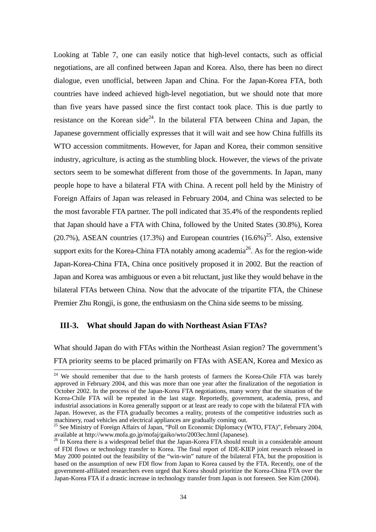Looking at Table 7, one can easily notice that high-level contacts, such as official negotiations, are all confined between Japan and Korea. Also, there has been no direct dialogue, even unofficial, between Japan and China. For the Japan-Korea FTA, both countries have indeed achieved high-level negotiation, but we should note that more than five years have passed since the first contact took place. This is due partly to resistance on the Korean side<sup>24</sup>. In the bilateral FTA between China and Japan, the Japanese government officially expresses that it will wait and see how China fulfills its WTO accession commitments. However, for Japan and Korea, their common sensitive industry, agriculture, is acting as the stumbling block. However, the views of the private sectors seem to be somewhat different from those of the governments. In Japan, many people hope to have a bilateral FTA with China. A recent poll held by the Ministry of Foreign Affairs of Japan was released in February 2004, and China was selected to be the most favorable FTA partner. The poll indicated that 35.4% of the respondents replied that Japan should have a FTA with China, followed by the United States (30.8%), Korea (20.7%), ASEAN countries (17.3%) and European countries (16.6%)<sup>25</sup>. Also, extensive support exits for the Korea-China FTA notably among academia<sup>26</sup>. As for the region-wide Japan-Korea-China FTA, China once positively proposed it in 2002. But the reaction of Japan and Korea was ambiguous or even a bit reluctant, just like they would behave in the bilateral FTAs between China. Now that the advocate of the tripartite FTA, the Chinese Premier Zhu Rongji, is gone, the enthusiasm on the China side seems to be missing.

# **III-3. What should Japan do with Northeast Asian FTAs?**

What should Japan do with FTAs within the Northeast Asian region? The government's FTA priority seems to be placed primarily on FTAs with ASEAN, Korea and Mexico as l

 $24$  We should remember that due to the harsh protests of farmers the Korea-Chile FTA was barely approved in February 2004, and this was more than one year after the finalization of the negotiation in October 2002. In the process of the Japan-Korea FTA negotiations, many worry that the situation of the Korea-Chile FTA will be repeated in the last stage. Reportedly, government, academia, press, and industrial associations in Korea generally support or at least are ready to cope with the bilateral FTA with Japan. However, as the FTA gradually becomes a reality, protests of the competitive industries such as

machinery, road vehicles and electrical appliances are gradually coming out.<br><sup>25</sup> See Ministry of Foreign Affairs of Japan, "Poll on Economic Diplomacy (WTO, FTA)", February 2004, available at http://www.mofa.go.jp/mofaj/gaiko/wto/2003ec.html (Japanese).

<sup>&</sup>lt;sup>26</sup> In Korea there is a widespread belief that the Japan-Korea FTA should result in a considerable amount of FDI flows or technology transfer to Korea. The final report of IDE-KIEP joint research released in May 2000 pointed out the feasibility of the "win-win" nature of the bilateral FTA, but the proposition is based on the assumption of new FDI flow from Japan to Korea caused by the FTA. Recently, one of the government-affiliated researchers even urged that Korea should prioritize the Korea-China FTA over the Japan-Korea FTA if a drastic increase in technology transfer from Japan is not foreseen. See Kim (2004).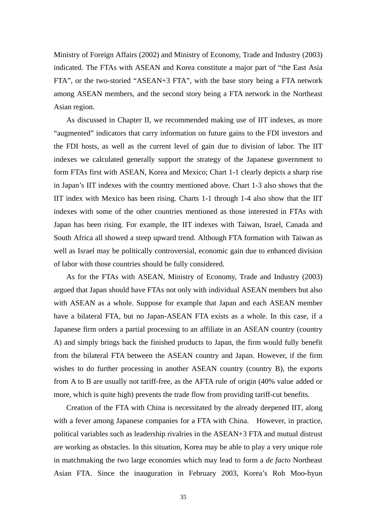Ministry of Foreign Affairs (2002) and Ministry of Economy, Trade and Industry (2003) indicated. The FTAs with ASEAN and Korea constitute a major part of "the East Asia FTA", or the two-storied "ASEAN+3 FTA", with the base story being a FTA network among ASEAN members, and the second story being a FTA network in the Northeast Asian region.

As discussed in Chapter II, we recommended making use of IIT indexes, as more "augmented" indicators that carry information on future gains to the FDI investors and the FDI hosts, as well as the current level of gain due to division of labor. The IIT indexes we calculated generally support the strategy of the Japanese government to form FTAs first with ASEAN, Korea and Mexico; Chart 1-1 clearly depicts a sharp rise in Japan's IIT indexes with the country mentioned above. Chart 1-3 also shows that the IIT index with Mexico has been rising. Charts 1-1 through 1-4 also show that the IIT indexes with some of the other countries mentioned as those interested in FTAs with Japan has been rising. For example, the IIT indexes with Taiwan, Israel, Canada and South Africa all showed a steep upward trend. Although FTA formation with Taiwan as well as Israel may be politically controversial, economic gain due to enhanced division of labor with those countries should be fully considered.

As for the FTAs with ASEAN, Ministry of Economy, Trade and Industry (2003) argued that Japan should have FTAs not only with individual ASEAN members but also with ASEAN as a whole. Suppose for example that Japan and each ASEAN member have a bilateral FTA, but no Japan-ASEAN FTA exists as a whole. In this case, if a Japanese firm orders a partial processing to an affiliate in an ASEAN country (country A) and simply brings back the finished products to Japan, the firm would fully benefit from the bilateral FTA between the ASEAN country and Japan. However, if the firm wishes to do further processing in another ASEAN country (country B), the exports from A to B are usually not tariff-free, as the AFTA rule of origin (40% value added or more, which is quite high) prevents the trade flow from providing tariff-cut benefits.

Creation of the FTA with China is necessitated by the already deepened IIT, along with a fever among Japanese companies for a FTA with China. However, in practice, political variables such as leadership rivalries in the ASEAN+3 FTA and mutual distrust are working as obstacles. In this situation, Korea may be able to play a very unique role in matchmaking the two large economies which may lead to form a *de facto* Northeast Asian FTA. Since the inauguration in February 2003, Korea's Roh Moo-hyun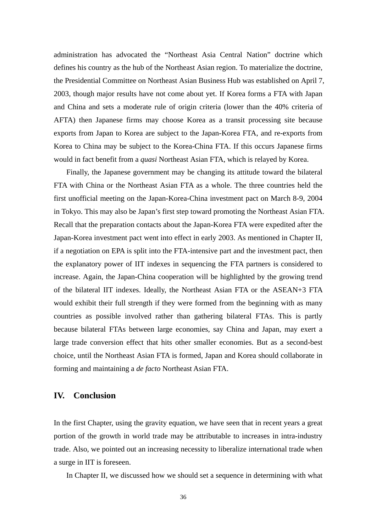administration has advocated the "Northeast Asia Central Nation" doctrine which defines his country as the hub of the Northeast Asian region. To materialize the doctrine, the Presidential Committee on Northeast Asian Business Hub was established on April 7, 2003, though major results have not come about yet. If Korea forms a FTA with Japan and China and sets a moderate rule of origin criteria (lower than the 40% criteria of AFTA) then Japanese firms may choose Korea as a transit processing site because exports from Japan to Korea are subject to the Japan-Korea FTA, and re-exports from Korea to China may be subject to the Korea-China FTA. If this occurs Japanese firms would in fact benefit from a *quasi* Northeast Asian FTA, which is relayed by Korea.

Finally, the Japanese government may be changing its attitude toward the bilateral FTA with China or the Northeast Asian FTA as a whole. The three countries held the first unofficial meeting on the Japan-Korea-China investment pact on March 8-9, 2004 in Tokyo. This may also be Japan's first step toward promoting the Northeast Asian FTA. Recall that the preparation contacts about the Japan-Korea FTA were expedited after the Japan-Korea investment pact went into effect in early 2003. As mentioned in Chapter II, if a negotiation on EPA is split into the FTA-intensive part and the investment pact, then the explanatory power of IIT indexes in sequencing the FTA partners is considered to increase. Again, the Japan-China cooperation will be highlighted by the growing trend of the bilateral IIT indexes. Ideally, the Northeast Asian FTA or the ASEAN+3 FTA would exhibit their full strength if they were formed from the beginning with as many countries as possible involved rather than gathering bilateral FTAs. This is partly because bilateral FTAs between large economies, say China and Japan, may exert a large trade conversion effect that hits other smaller economies. But as a second-best choice, until the Northeast Asian FTA is formed, Japan and Korea should collaborate in forming and maintaining a *de facto* Northeast Asian FTA.

# **IV. Conclusion**

In the first Chapter, using the gravity equation, we have seen that in recent years a great portion of the growth in world trade may be attributable to increases in intra-industry trade. Also, we pointed out an increasing necessity to liberalize international trade when a surge in IIT is foreseen.

In Chapter II, we discussed how we should set a sequence in determining with what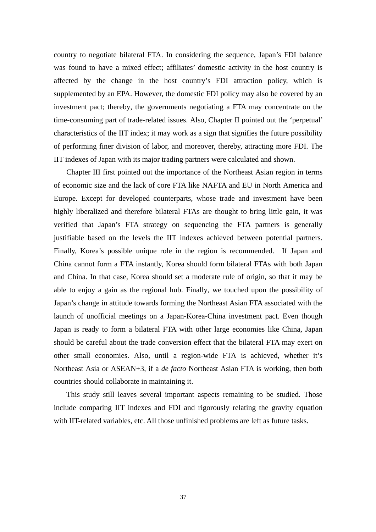country to negotiate bilateral FTA. In considering the sequence, Japan's FDI balance was found to have a mixed effect; affiliates' domestic activity in the host country is affected by the change in the host country's FDI attraction policy, which is supplemented by an EPA. However, the domestic FDI policy may also be covered by an investment pact; thereby, the governments negotiating a FTA may concentrate on the time-consuming part of trade-related issues. Also, Chapter II pointed out the 'perpetual' characteristics of the IIT index; it may work as a sign that signifies the future possibility of performing finer division of labor, and moreover, thereby, attracting more FDI. The IIT indexes of Japan with its major trading partners were calculated and shown.

Chapter III first pointed out the importance of the Northeast Asian region in terms of economic size and the lack of core FTA like NAFTA and EU in North America and Europe. Except for developed counterparts, whose trade and investment have been highly liberalized and therefore bilateral FTAs are thought to bring little gain, it was verified that Japan's FTA strategy on sequencing the FTA partners is generally justifiable based on the levels the IIT indexes achieved between potential partners. Finally, Korea's possible unique role in the region is recommended. If Japan and China cannot form a FTA instantly, Korea should form bilateral FTAs with both Japan and China. In that case, Korea should set a moderate rule of origin, so that it may be able to enjoy a gain as the regional hub. Finally, we touched upon the possibility of Japan's change in attitude towards forming the Northeast Asian FTA associated with the launch of unofficial meetings on a Japan-Korea-China investment pact. Even though Japan is ready to form a bilateral FTA with other large economies like China, Japan should be careful about the trade conversion effect that the bilateral FTA may exert on other small economies. Also, until a region-wide FTA is achieved, whether it's Northeast Asia or ASEAN+3, if a *de facto* Northeast Asian FTA is working, then both countries should collaborate in maintaining it.

This study still leaves several important aspects remaining to be studied. Those include comparing IIT indexes and FDI and rigorously relating the gravity equation with IIT-related variables, etc. All those unfinished problems are left as future tasks.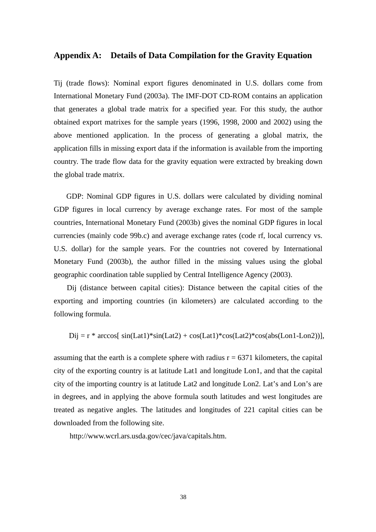# **Appendix A: Details of Data Compilation for the Gravity Equation**

Tij (trade flows): Nominal export figures denominated in U.S. dollars come from International Monetary Fund (2003a). The IMF-DOT CD-ROM contains an application that generates a global trade matrix for a specified year. For this study, the author obtained export matrixes for the sample years (1996, 1998, 2000 and 2002) using the above mentioned application. In the process of generating a global matrix, the application fills in missing export data if the information is available from the importing country. The trade flow data for the gravity equation were extracted by breaking down the global trade matrix.

GDP: Nominal GDP figures in U.S. dollars were calculated by dividing nominal GDP figures in local currency by average exchange rates. For most of the sample countries, International Monetary Fund (2003b) gives the nominal GDP figures in local currencies (mainly code 99b.c) and average exchange rates (code rf, local currency vs. U.S. dollar) for the sample years. For the countries not covered by International Monetary Fund (2003b), the author filled in the missing values using the global geographic coordination table supplied by Central Intelligence Agency (2003).

Dij (distance between capital cities): Distance between the capital cities of the exporting and importing countries (in kilometers) are calculated according to the following formula.

$$
Dij = r * arccos[ sin(Lat1) * sin(Lat2) + cos(Lat1) * cos(Lat2) * cos(abs(Lon1-Lon2))],
$$

assuming that the earth is a complete sphere with radius  $r = 6371$  kilometers, the capital city of the exporting country is at latitude Lat1 and longitude Lon1, and that the capital city of the importing country is at latitude Lat2 and longitude Lon2. Lat's and Lon's are in degrees, and in applying the above formula south latitudes and west longitudes are treated as negative angles. The latitudes and longitudes of 221 capital cities can be downloaded from the following site.

http://www.wcrl.ars.usda.gov/cec/java/capitals.htm.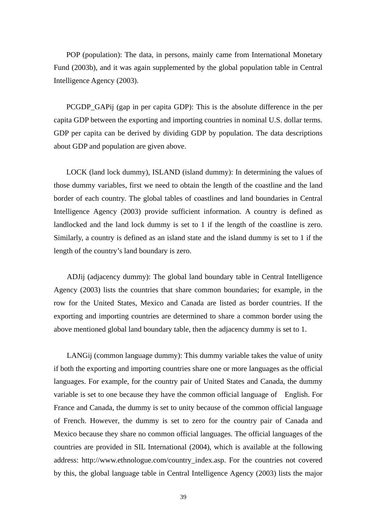POP (population): The data, in persons, mainly came from International Monetary Fund (2003b), and it was again supplemented by the global population table in Central Intelligence Agency (2003).

PCGDP\_GAPij (gap in per capita GDP): This is the absolute difference in the per capita GDP between the exporting and importing countries in nominal U.S. dollar terms. GDP per capita can be derived by dividing GDP by population. The data descriptions about GDP and population are given above.

LOCK (land lock dummy), ISLAND (island dummy): In determining the values of those dummy variables, first we need to obtain the length of the coastline and the land border of each country. The global tables of coastlines and land boundaries in Central Intelligence Agency (2003) provide sufficient information. A country is defined as landlocked and the land lock dummy is set to 1 if the length of the coastline is zero. Similarly, a country is defined as an island state and the island dummy is set to 1 if the length of the country's land boundary is zero.

ADJij (adjacency dummy): The global land boundary table in Central Intelligence Agency (2003) lists the countries that share common boundaries; for example, in the row for the United States, Mexico and Canada are listed as border countries. If the exporting and importing countries are determined to share a common border using the above mentioned global land boundary table, then the adjacency dummy is set to 1.

LANGij (common language dummy): This dummy variable takes the value of unity if both the exporting and importing countries share one or more languages as the official languages. For example, for the country pair of United States and Canada, the dummy variable is set to one because they have the common official language of English. For France and Canada, the dummy is set to unity because of the common official language of French. However, the dummy is set to zero for the country pair of Canada and Mexico because they share no common official languages. The official languages of the countries are provided in SIL International (2004), which is available at the following address: http://www.ethnologue.com/country\_index.asp. For the countries not covered by this, the global language table in Central Intelligence Agency (2003) lists the major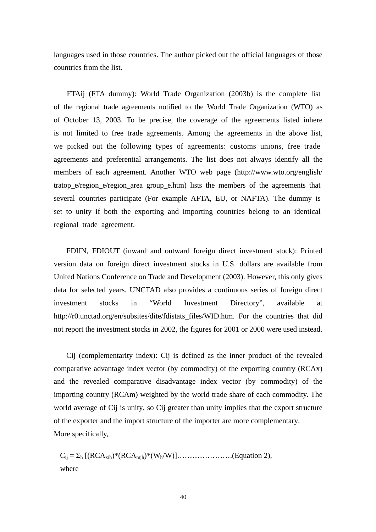languages used in those countries. The author picked out the official languages of those countries from the list.

FTAij (FTA dummy): World Trade Organization (2003b) is the complete list of the regional trade agreements notified to the World Trade Organization (WTO) as of October 13, 2003. To be precise, the coverage of the agreements listed inhere is not limited to free trade agreements. Among the agreements in the above list, we picked out the following types of agreements: customs unions, free trade agreements and preferential arrangements. The list does not always identify all the members of each agreement. Another WTO web page (http://www.wto.org/english/ tratop e/region e/region area group e.htm) lists the members of the agreements that several countries participate (For example AFTA, EU, or NAFTA). The dummy is set to unity if both the exporting and importing countries belong to an identical regional trade agreement.

FDIIN, FDIOUT (inward and outward foreign direct investment stock): Printed version data on foreign direct investment stocks in U.S. dollars are available from United Nations Conference on Trade and Development (2003). However, this only gives data for selected years. UNCTAD also provides a continuous series of foreign direct investment stocks in "World Investment Directory", available at http://r0.unctad.org/en/subsites/dite/fdistats\_files/WID.htm. For the countries that did not report the investment stocks in 2002, the figures for 2001 or 2000 were used instead.

Cij (complementarity index): Cij is defined as the inner product of the revealed comparative advantage index vector (by commodity) of the exporting country (RCAx) and the revealed comparative disadvantage index vector (by commodity) of the importing country (RCAm) weighted by the world trade share of each commodity. The world average of Cij is unity, so Cij greater than unity implies that the export structure of the exporter and the import structure of the importer are more complementary. More specifically,

 $C_{ij} = \sum_h [(\text{RCA}_{\text{xih}})^*(\text{RCA}_{\text{mih}})^*(W_h/W)] \dots (Equation 2),$ where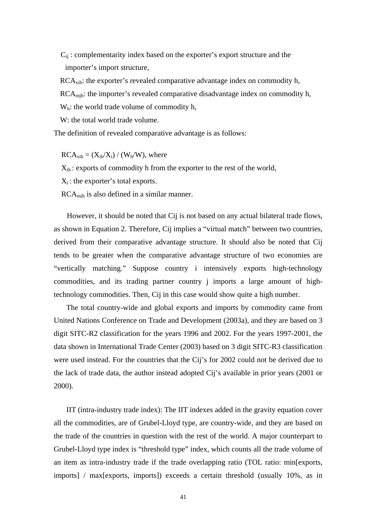$C_{ii}$ : complementarity index based on the exporter's export structure and the importer's import structure,

RCA<sub>xih</sub>: the exporter's revealed comparative advantage index on commodity h, RCA<sub>mih</sub>: the importer's revealed comparative disadvantage index on commodity h, W<sub>h</sub>: the world trade volume of commodity h,

W: the total world trade volume.

The definition of revealed comparative advantage is as follows:

 $RCA<sub>xih</sub> = (X<sub>ih</sub>/X<sub>i</sub>) / (W<sub>h</sub>/W)$ , where

 $X_{ih}$ : exports of commodity h from the exporter to the rest of the world,

 $X_i$ : the exporter's total exports.

RCAmih is also defined in a similar manner.

However, it should be noted that Cij is not based on any actual bilateral trade flows, as shown in Equation 2. Therefore, Cij implies a "virtual match" between two countries, derived from their comparative advantage structure. It should also be noted that Cij tends to be greater when the comparative advantage structure of two economies are "vertically matching." Suppose country i intensively exports high-technology commodities, and its trading partner country j imports a large amount of hightechnology commodities. Then, Cij in this case would show quite a high number.

The total country-wide and global exports and imports by commodity came from United Nations Conference on Trade and Development (2003a), and they are based on 3 digit SITC-R2 classification for the years 1996 and 2002. For the years 1997-2001, the data shown in International Trade Center (2003) based on 3 digit SITC-R3 classification were used instead. For the countries that the Cij's for 2002 could not be derived due to the lack of trade data, the author instead adopted Cij's available in prior years (2001 or 2000).

IIT (intra-industry trade index): The IIT indexes added in the gravity equation cover all the commodities, are of Grubel-Lloyd type, are country-wide, and they are based on the trade of the countries in question with the rest of the world. A major counterpart to Grubel-Lloyd type index is "threshold type" index, which counts all the trade volume of an item as intra-industry trade if the trade overlapping ratio (TOL ratio: min[exports, imports] / max[exports, imports]) exceeds a certain threshold (usually 10%, as in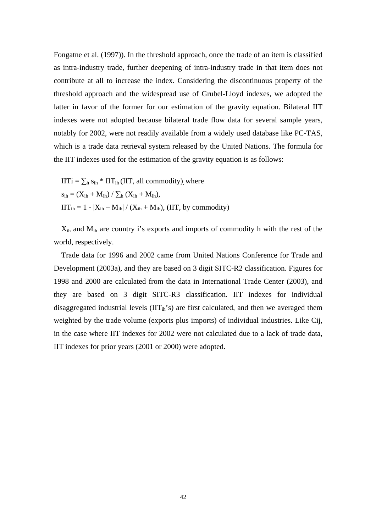Fongatne et al. (1997)). In the threshold approach, once the trade of an item is classified as intra-industry trade, further deepening of intra-industry trade in that item does not contribute at all to increase the index. Considering the discontinuous property of the threshold approach and the widespread use of Grubel-Lloyd indexes, we adopted the latter in favor of the former for our estimation of the gravity equation. Bilateral IIT indexes were not adopted because bilateral trade flow data for several sample years, notably for 2002, were not readily available from a widely used database like PC-TAS, which is a trade data retrieval system released by the United Nations. The formula for the IIT indexes used for the estimation of the gravity equation is as follows:

 $IITi = \sum_{h} s_{ih} * IIT_{ih} (IIT, all commodity)$ , where  $s_{ih} = (X_{ih} + M_{ih}) / \sum_{h} (X_{ih} + M_{ih}),$  $IIT_{ih} = 1 - |X_{ih} - M_{ih}| / (X_{ih} + M_{ih}), (IIT, by commodity)$ 

Xih and Mih are country i's exports and imports of commodity h with the rest of the world, respectively.

Trade data for 1996 and 2002 came from United Nations Conference for Trade and Development (2003a), and they are based on 3 digit SITC-R2 classification. Figures for 1998 and 2000 are calculated from the data in International Trade Center (2003), and they are based on 3 digit SITC-R3 classification. IIT indexes for individual disaggregated industrial levels  $(III_{ih}^{\dagger})$  are first calculated, and then we averaged them weighted by the trade volume (exports plus imports) of individual industries. Like Cij, in the case where IIT indexes for 2002 were not calculated due to a lack of trade data, IIT indexes for prior years (2001 or 2000) were adopted.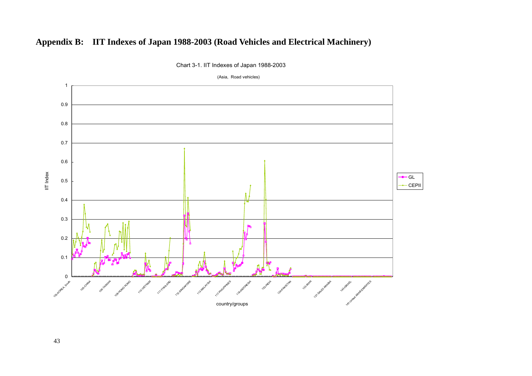# **Appendix B: IIT Indexes of Japan 1988-2003 (Road Vehicles and Electrical Machinery)**



Chart 3-1. IIT Indexes of Japan 1988-2003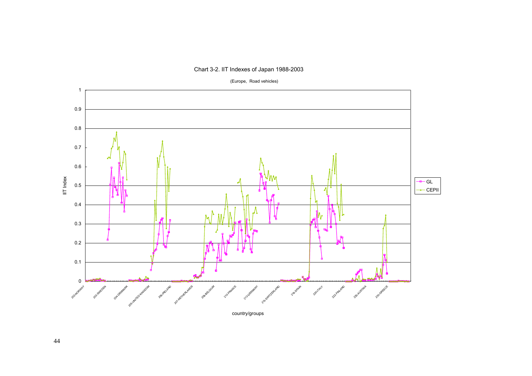

Chart 3-2. IIT Indexes of Japan 1988-2003

(Europe, Road vehicles)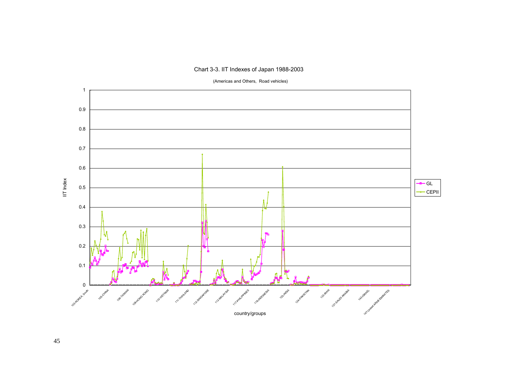# Chart 3-3. IIT Indexes of Japan 1988-2003



(Americas and Others, Road vehicles)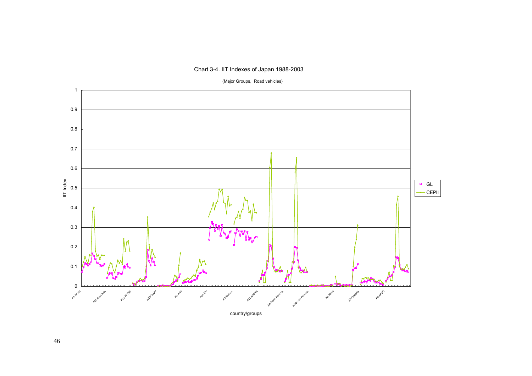

Chart 3-4. IIT Indexes of Japan 1988-2003

(Major Groups, Road vehicles)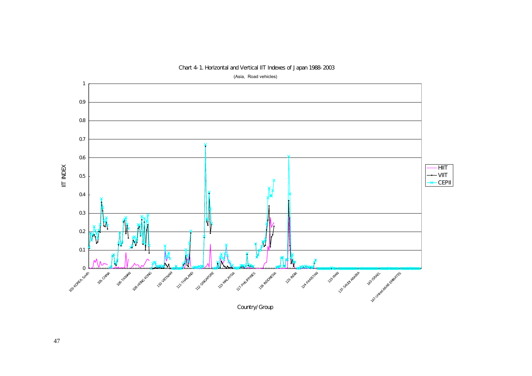

# Chart 4-1. Horizontal and Vertical IIT Indexes of Japan 1988-2003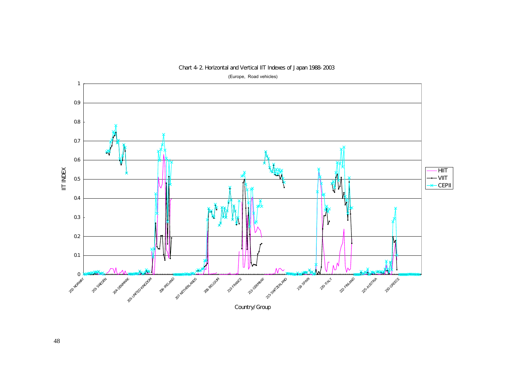

Chart 4-2. Horizontal and Vertical IIT Indexes of Japan 1988-2003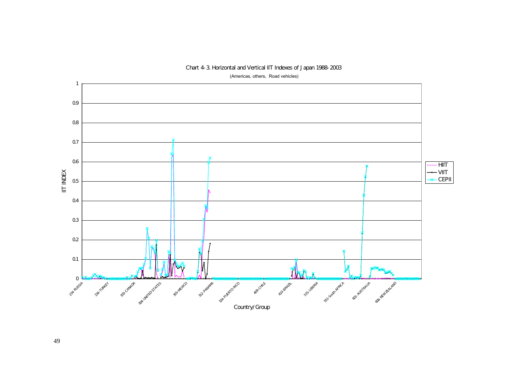

# Chart 4-3. Horizontal and Vertical IIT Indexes of Japan 1988-2003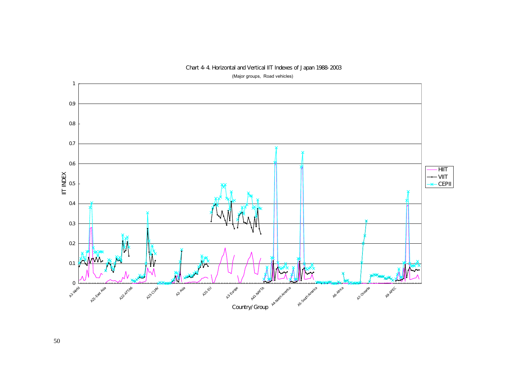

# Chart 4-4. Horizontal and Vertical IIT Indexes of Japan 1988-2003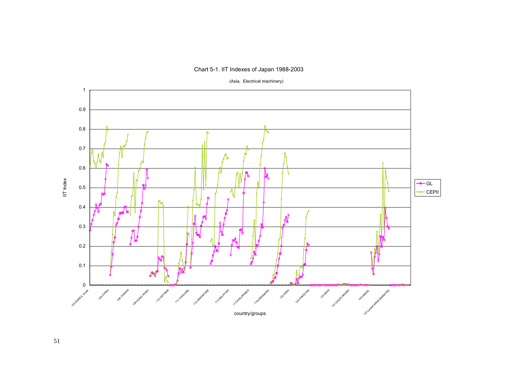

# Chart 5-1. IIT Indexes of Japan 1988-2003

(Asia, Electrical machinery)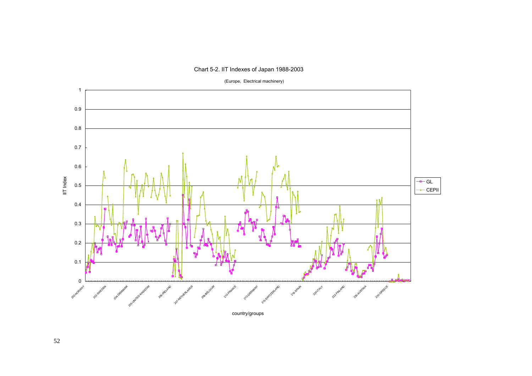

# Chart 5-2. IIT Indexes of Japan 1988-2003

(Europe, Electrical machinery)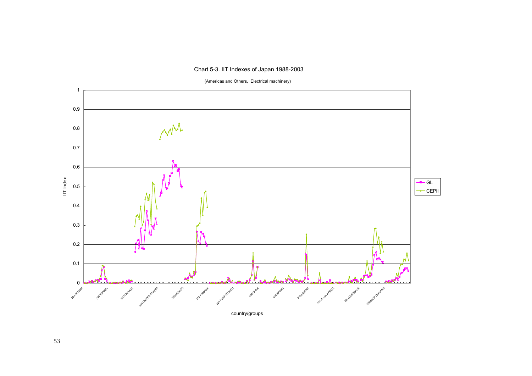# Chart 5-3. IIT Indexes of Japan 1988-2003



(Americas and Others, Electrical machinery)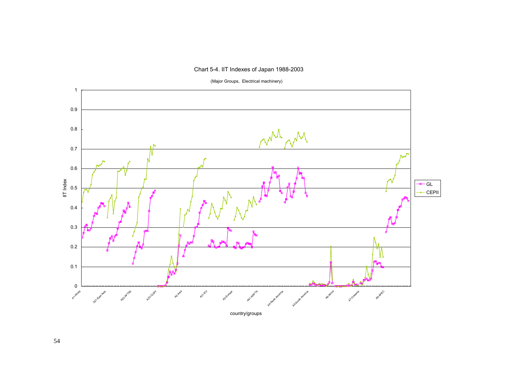



(Major Groups, Electrical machinery)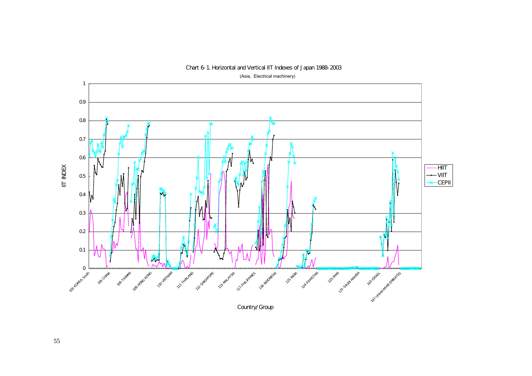

# Chart 6-1. Horizontal and Vertical IIT Indexes of Japan 1988-2003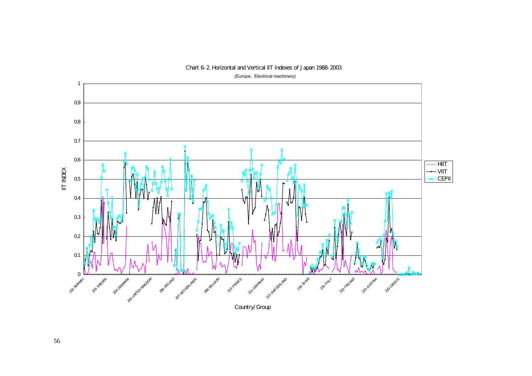

# Chart 6-2. Horizontal and Vertical IIT Indexes of Japan 1988-2003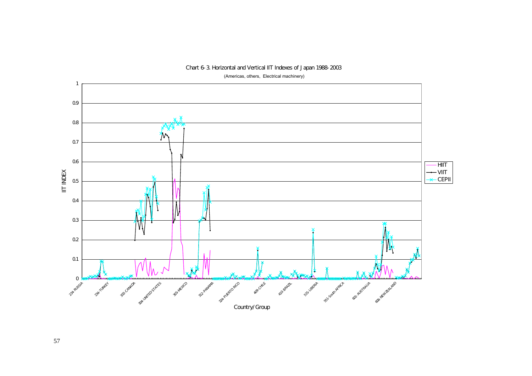

Chart 6-3. Horizontal and Vertical IIT Indexes of Japan 1988-2003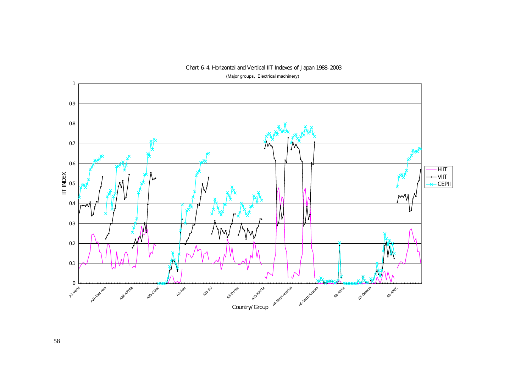

# Chart 6-4. Horizontal and Vertical IIT Indexes of Japan 1988-2003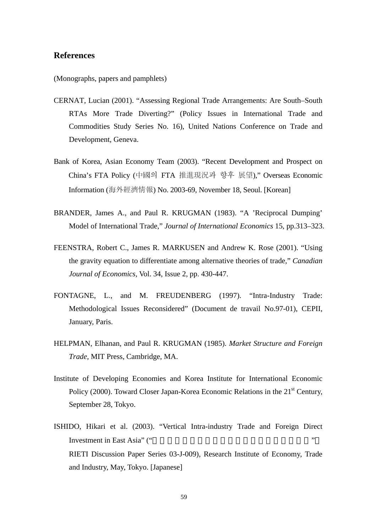# **References**

(Monographs, papers and pamphlets)

- CERNAT, Lucian (2001). "Assessing Regional Trade Arrangements: Are South–South RTAs More Trade Diverting?" (Policy Issues in International Trade and Commodities Study Series No. 16), United Nations Conference on Trade and Development, Geneva.
- Bank of Korea, Asian Economy Team (2003). "Recent Development and Prospect on China's FTA Policy (中國의 FTA 推進現況과 향후 展望)," Overseas Economic Information (海外經濟情報) No. 2003-69, November 18, Seoul. [Korean]
- BRANDER, James A., and Paul R. KRUGMAN (1983). "A 'Reciprocal Dumping' Model of International Trade," *Journal of International Economics* 15, pp.313–323.
- FEENSTRA, Robert C., James R. MARKUSEN and Andrew K. Rose (2001). "Using the gravity equation to differentiate among alternative theories of trade," *Canadian Journal of Economics,* Vol. 34, Issue 2, pp. 430-447.
- FONTAGNE, L., and M. FREUDENBERG (1997). "Intra-Industry Trade: Methodological Issues Reconsidered" (Document de travail No.97-01), CEPII, January, Paris.
- HELPMAN, Elhanan, and Paul R. KRUGMAN (1985). *Market Structure and Foreign Trade,* MIT Press, Cambridge, MA.
- Institute of Developing Economies and Korea Institute for International Economic Policy (2000). Toward Closer Japan-Korea Economic Relations in the  $21<sup>st</sup>$  Century, September 28, Tokyo.
- ISHIDO, Hikari et al. (2003). "Vertical Intra-industry Trade and Foreign Direct Investment in East Asia" (" RIETI Discussion Paper Series 03-J-009), Research Institute of Economy, Trade and Industry, May, Tokyo. [Japanese]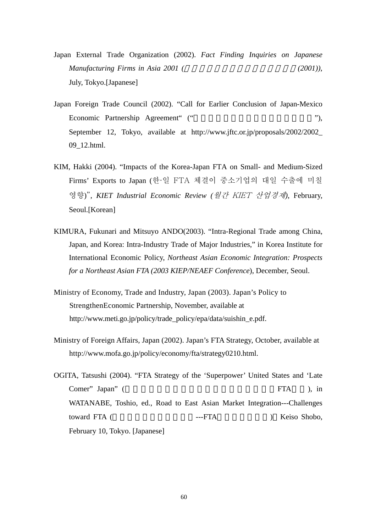- Japan External Trade Organization (2002). *Fact Finding Inquiries on Japanese Manufacturing Firms in Asia 2001 (The Solution Asia 2001)*, July, Tokyo.[Japanese]
- Japan Foreign Trade Council (2002). "Call for Earlier Conclusion of Japan-Mexico Economic Partnership Agreement" ("  $\qquad$ "), September 12, Tokyo, available at http://www.jftc.or.jp/proposals/2002/2002\_ 09\_12.html.
- KIM, Hakki (2004). "Impacts of the Korea-Japan FTA on Small- and Medium-Sized Firms' Exports to Japan (한·일 FTA 체결이 중소기업의 대일 수출에 미칠 영향)", *KIET Industrial Economic Review (*월간 KIET 산업경제*)*, February, Seoul.[Korean]
- KIMURA, Fukunari and Mitsuyo ANDO(2003). "Intra-Regional Trade among China, Japan, and Korea: Intra-Industry Trade of Major Industries," in Korea Institute for International Economic Policy, *Northeast Asian Economic Integration: Prospects for a Northeast Asian FTA (2003 KIEP/NEAEF Conference*), December, Seoul.
- Ministry of Economy, Trade and Industry, Japan (2003). Japan's Policy to StrengthenEconomic Partnership, November, available at http://www.meti.go.jp/policy/trade\_policy/epa/data/suishin\_e.pdf.
- Ministry of Foreign Affairs, Japan (2002). Japan's FTA Strategy, October, available at http://www.mofa.go.jp/policy/economy/fta/strategy0210.html.
- OGITA, Tatsushi (2004). "FTA Strategy of the 'Superpower' United States and 'Late Comer" Japan" (「超大国」米国と「遅れてきた国」日本のFTA戦略), in WATANABE, Toshio, ed., Road to East Asian Market Integration---Challenges toward FTA (
The Compact of TA (
The Compact of TA (
The Compact of TA (
The Compact of TA (
The Compact of TA (
The Compact of TA (
The Compact of TA (
The Compact of TA (
The Compact of TA (
The Compact of TA (
The Compa February 10, Tokyo. [Japanese]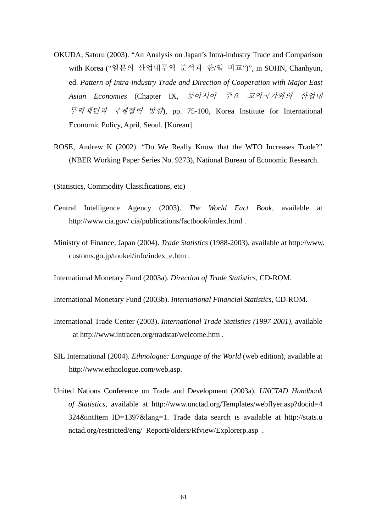- OKUDA, Satoru (2003). "An Analysis on Japan's Intra-industry Trade and Comparison with Korea ("일본의 산업내무역 분석과 한/일 비교")", in SOHN, Chanhyun, ed. *Pattern of Intra-industry Trade and Direction of Cooperation with Major East Asian Economies* (Chapter IX, 동아시아 주요 교역국가와의 산업내 무역패턴과 국제협력 방향), pp. 75-100, Korea Institute for International Economic Policy, April, Seoul. [Korean]
- ROSE, Andrew K (2002). "Do We Really Know that the WTO Increases Trade?" (NBER Working Paper Series No. 9273), National Bureau of Economic Research.

(Statistics, Commodity Classifications, etc)

- Central Intelligence Agency (2003). *The World Fact Book*, available at http://www.cia.gov/ cia/publications/factbook/index.html .
- Ministry of Finance, Japan (2004). *Trade Statistics* (1988-2003), available at http://www. customs.go.jp/toukei/info/index\_e.htm .
- International Monetary Fund (2003a). *Direction of Trade Statistics*, CD-ROM.
- International Monetary Fund (2003b). *International Financial Statistics*, CD-ROM.
- International Trade Center (2003). *International Trade Statistics (1997-2001),* available at http://www.intracen.org/tradstat/welcome.htm .
- SIL International (2004). *Ethnologue: Language of the World* (web edition), available at http://www.ethnologue.com/web.asp.
- United Nations Conference on Trade and Development (2003a). *UNCTAD Handbook of Statistics*, available at http://www.unctad.org/Templates/webflyer.asp?docid=4 324&intItem ID=1397&lang=1. Trade data search is available at http://stats.u nctad.org/restricted/eng/ ReportFolders/Rfview/Explorerp.asp .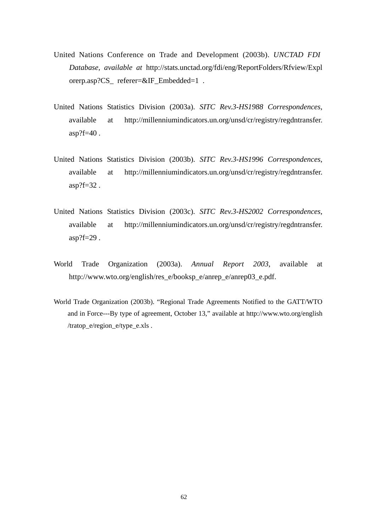- United Nations Conference on Trade and Development (2003b). *UNCTAD FDI Database, available at* http://stats.unctad.org/fdi/eng/ReportFolders/Rfview/Expl orerp.asp?CS\_ referer=&IF\_Embedded=1 .
- United Nations Statistics Division (2003a). *SITC Rev.3-HS1988 Correspondences*, available at http://millenniumindicators.un.org/unsd/cr/registry/regdntransfer. asp?f=40 .
- United Nations Statistics Division (2003b). *SITC Rev.3-HS1996 Correspondences*, available at http://millenniumindicators.un.org/unsd/cr/registry/regdntransfer. asp?f=32 .
- United Nations Statistics Division (2003c). *SITC Rev.3-HS2002 Correspondences*, available at http://millenniumindicators.un.org/unsd/cr/registry/regdntransfer. asp?f=29 .
- World Trade Organization (2003a). *Annual Report 2003*, available at http://www.wto.org/english/res\_e/booksp\_e/anrep\_e/anrep03\_e.pdf.
- World Trade Organization (2003b). "Regional Trade Agreements Notified to the GATT/WTO and in Force---By type of agreement, October 13," available at http://www.wto.org/english /tratop\_e/region\_e/type\_e.xls .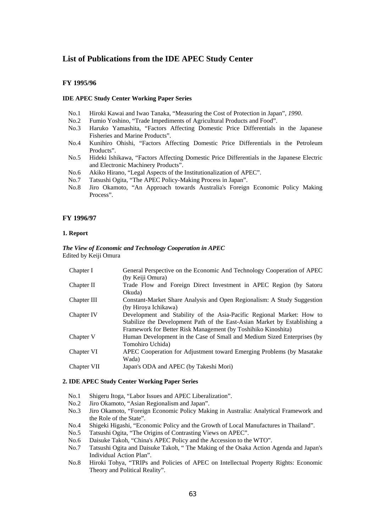# **List of Publications from the IDE APEC Study Center**

# **FY 1995/96**

### **IDE APEC Study Center Working Paper Series**

- No.1 Hiroki Kawai and Iwao Tanaka, "Measuring the Cost of Protection in Japan"*, 1990*.
- No.2 Fumio Yoshino, "Trade Impediments of Agricultural Products and Food".
- No.3 Haruko Yamashita, "Factors Affecting Domestic Price Differentials in the Japanese Fisheries and Marine Products".
- No.4 Kunihiro Ohishi, "Factors Affecting Domestic Price Differentials in the Petroleum Products".
- No.5 Hideki Ishikawa, "Factors Affecting Domestic Price Differentials in the Japanese Electric and Electronic Machinery Products".
- No.6 Akiko Hirano, "Legal Aspects of the Institutionalization of APEC".
- No.7 Tatsushi Ogita, "The APEC Policy-Making Process in Japan".
- No.8 Jiro Okamoto, "An Approach towards Australia's Foreign Economic Policy Making Process".

#### **FY 1996/97**

### **1. Report**

### *The View of Economic and Technology Cooperation in APEC*  Edited by Keiji Omura

| Chapter I   | General Perspective on the Economic And Technology Cooperation of APEC    |
|-------------|---------------------------------------------------------------------------|
|             | (by Keiji Omura)                                                          |
| Chapter II  | Trade Flow and Foreign Direct Investment in APEC Region (by Satoru        |
|             | Okuda)                                                                    |
| Chapter III | Constant-Market Share Analysis and Open Regionalism: A Study Suggestion   |
|             | (by Hiroya Ichikawa)                                                      |
| Chapter IV  | Development and Stability of the Asia-Pacific Regional Market: How to     |
|             | Stabilize the Development Path of the East-Asian Market by Establishing a |
|             | Framework for Better Risk Management (by Toshihiko Kinoshita)             |
| Chapter V   | Human Development in the Case of Small and Medium Sized Enterprises (by   |
|             | Tomohiro Uchida)                                                          |
| Chapter VI  | APEC Cooperation for Adjustment toward Emerging Problems (by Masatake)    |
|             | Wada)                                                                     |
| Chapter VII | Japan's ODA and APEC (by Takeshi Mori)                                    |
|             |                                                                           |

#### **2. IDE APEC Study Center Working Paper Series**

- No.1 Shigeru Itoga, "Labor Issues and APEC Liberalization".
- No.2 Jiro Okamoto, "Asian Regionalism and Japan".
- No.3 Jiro Okamoto, "Foreign Economic Policy Making in Australia: Analytical Framework and the Role of the State".
- No.4 Shigeki Higashi, "Economic Policy and the Growth of Local Manufactures in Thailand".
- No.5 Tatsushi Ogita, "The Origins of Contrasting Views on APEC".
- No.6 Daisuke Takoh, "China's APEC Policy and the Accession to the WTO".
- No.7 Tatsushi Ogita and Daisuke Takoh, " The Making of the Osaka Action Agenda and Japan's Individual Action Plan".
- No.8 Hiroki Tohya, "TRIPs and Policies of APEC on Intellectual Property Rights: Economic Theory and Political Reality".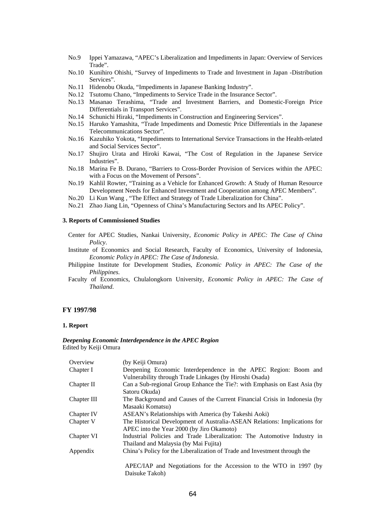- No.9 Ippei Yamazawa, "APEC's Liberalization and Impediments in Japan: Overview of Services Trade".
- No.10 Kunihiro Ohishi, "Survey of Impediments to Trade and Investment in Japan -Distribution Services".
- No.11 Hidenobu Okuda, "Impediments in Japanese Banking Industry".
- No.12 Tsutomu Chano, "Impediments to Service Trade in the Insurance Sector".
- No.13 Masanao Terashima, "Trade and Investment Barriers, and Domestic-Foreign Price Differentials in Transport Services".
- No.14 Schunichi Hiraki, "Impediments in Construction and Engineering Services".
- No.15 Haruko Yamashita, "Trade Impediments and Domestic Price Differentials in the Japanese Telecommunications Sector".
- No.16 Kazuhiko Yokota, "Impediments to International Service Transactions in the Health-related and Social Services Sector".
- No.17 Shujiro Urata and Hiroki Kawai, "The Cost of Regulation in the Japanese Service Industries".
- No.18 Marina Fe B. Durano, "Barriers to Cross-Border Provision of Services within the APEC: with a Focus on the Movement of Persons".
- No.19 Kahlil Rowter, "Training as a Vehicle for Enhanced Growth: A Study of Human Resource Development Needs for Enhanced Investment and Cooperation among APEC Members".
- No.20 Li Kun Wang , "The Effect and Strategy of Trade Liberalization for China".
- No.21 Zhao Jiang Lin, "Openness of China's Manufacturing Sectors and Its APEC Policy".

# **3. Reports of Commissioned Studies**

- Center for APEC Studies, Nankai University, *Economic Policy in APEC: The Case of China Policy*.
- Institute of Economics and Social Research, Faculty of Economics, University of Indonesia, *Economic Policy in APEC: The Case of Indonesia*.
- Philippine Institute for Development Studies, *Economic Policy in APEC: The Case of the Philippines*.
- Faculty of Economics, Chulalongkorn University, *Economic Policy in APEC: The Case of Thailand*.

### **FY 1997/98**

### **1. Report**

#### *Deepening Economic Interdependence in the APEC Region*  Edited by Keiji Omura

| Overview    | (by Keiji Omura)                                                                     |
|-------------|--------------------------------------------------------------------------------------|
| Chapter I   | Deepening Economic Interdependence in the APEC Region: Boom and                      |
|             | Vulnerability through Trade Linkages (by Hiroshi Osada)                              |
| Chapter II  | Can a Sub-regional Group Enhance the Tie?: with Emphasis on East Asia (by            |
|             | Satoru Okuda)                                                                        |
| Chapter III | The Background and Causes of the Current Financial Crisis in Indonesia (by           |
|             | Masaaki Komatsu)                                                                     |
| Chapter IV  | ASEAN's Relationships with America (by Takeshi Aoki)                                 |
| Chapter V   | The Historical Development of Australia-ASEAN Relations: Implications for            |
|             | APEC into the Year 2000 (by Jiro Okamoto)                                            |
| Chapter VI  | Industrial Policies and Trade Liberalization: The Automotive Industry in             |
|             | Thailand and Malaysia (by Mai Fujita)                                                |
| Appendix    | China's Policy for the Liberalization of Trade and Investment through the            |
|             |                                                                                      |
|             |                                                                                      |
|             | APEC/IAP and Negotiations for the Accession to the WTO in 1997 (by<br>Daisuke Takoh) |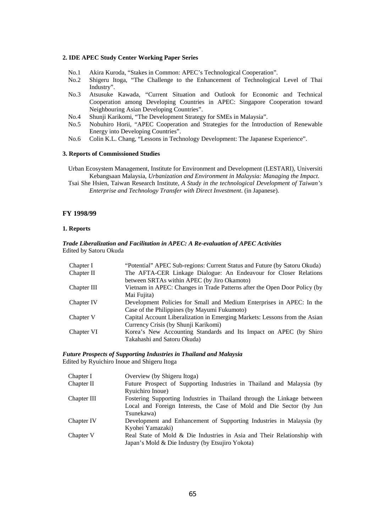#### **2. IDE APEC Study Center Working Paper Series**

- No.1 Akira Kuroda, "Stakes in Common: APEC's Technological Cooperation".
- No.2 Shigeru Itoga, "The Challenge to the Enhancement of Technological Level of Thai Industry".
- No.3 Atsusuke Kawada, "Current Situation and Outlook for Economic and Technical Cooperation among Developing Countries in APEC: Singapore Cooperation toward Neighbouring Asian Developing Countries".
- No.4 Shunji Karikomi, "The Development Strategy for SMEs in Malaysia".
- No.5 Nobuhiro Horii, "APEC Cooperation and Strategies for the Introduction of Renewable Energy into Developing Countries".
- No.6 Colin K.L. Chang, "Lessons in Technology Development: The Japanese Experience".

#### **3. Reports of Commissioned Studies**

Urban Ecosystem Management, Institute for Environment and Development (LESTARI), Universiti Kebangsaan Malaysia, *Urbanization and Environment in Malaysia: Managing the Impact*.

Tsai She Hsien, Taiwan Research Institute, *A Study in the technological Development of Taiwan's Enterprise and Technology Transfer with Direct Investment*. (in Japanese).

### **FY 1998/99**

### **1. Reports**

### *Trade Liberalization and Facilitation in APEC: A Re-evaluation of APEC Activities*  Edited by Satoru Okuda

| Chapter I   | "Potential" APEC Sub-regions: Current Status and Future (by Satoru Okuda)  |
|-------------|----------------------------------------------------------------------------|
| Chapter II  | The AFTA-CER Linkage Dialogue: An Endeavour for Closer Relations           |
|             | between SRTAs within APEC (by Jiro Okamoto)                                |
| Chapter III | Vietnam in APEC: Changes in Trade Patterns after the Open Door Policy (by  |
|             | Mai Fujita)                                                                |
| Chapter IV  | Development Policies for Small and Medium Enterprises in APEC: In the      |
|             | Case of the Philippines (by Mayumi Fukumoto)                               |
| Chapter V   | Capital Account Liberalization in Emerging Markets: Lessons from the Asian |
|             | Currency Crisis (by Shunji Karikomi)                                       |
| Chapter VI  | Korea's New Accounting Standards and Its Impact on APEC (by Shiro          |
|             | Takahashi and Satoru Okuda)                                                |

### *Future Prospects of Supporting Industries in Thailand and Malaysia*  Edited by Ryuichiro Inoue and Shigeru Itoga

| Chapter I   | Overview (by Shigeru Itoga)                                             |
|-------------|-------------------------------------------------------------------------|
| Chapter II  | Future Prospect of Supporting Industries in Thailand and Malaysia (by   |
|             | Ryuichiro Inoue)                                                        |
| Chapter III | Fostering Supporting Industries in Thailand through the Linkage between |
|             | Local and Foreign Interests, the Case of Mold and Die Sector (by Jun    |
|             | Tsunekawa)                                                              |
| Chapter IV  | Development and Enhancement of Supporting Industries in Malaysia (by    |
|             | Kyohei Yamazaki)                                                        |
| Chapter V   | Real State of Mold & Die Industries in Asia and Their Relationship with |
|             | Japan's Mold & Die Industry (by Etsujiro Yokota)                        |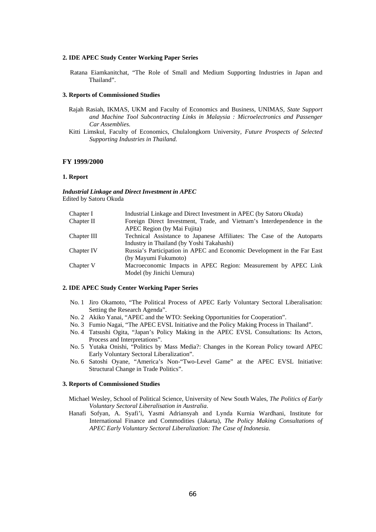#### **2. IDE APEC Study Center Working Paper Series**

Ratana Eiamkanitchat, "The Role of Small and Medium Supporting Industries in Japan and Thailand".

### **3. Reports of Commissioned Studies**

- Rajah Rasiah, IKMAS, UKM and Faculty of Economics and Business, UNIMAS*, State Support and Machine Tool Subcontracting Links in Malaysia : Microelectronics and Passenger Car Assemblies.*
- Kitti Limskul, Faculty of Economics, Chulalongkorn University*, Future Prospects of Selected Supporting Industries in Thailand.*

#### **FY 1999/2000**

#### **1. Report**

*Industrial Linkage and Direct Investment in APEC*  Edited by Satoru Okuda

| Chapter I   | Industrial Linkage and Direct Investment in APEC (by Satoru Okuda)      |
|-------------|-------------------------------------------------------------------------|
| Chapter II  | Foreign Direct Investment, Trade, and Vietnam's Interdependence in the  |
|             | APEC Region (by Mai Fujita)                                             |
| Chapter III | Technical Assistance to Japanese Affiliates: The Case of the Autoparts  |
|             | Industry in Thailand (by Yoshi Takahashi)                               |
| Chapter IV  | Russia's Participation in APEC and Economic Development in the Far East |
|             | (by Mayumi Fukumoto)                                                    |
| Chapter V   | Macroeconomic Impacts in APEC Region: Measurement by APEC Link          |
|             | Model (by Jinichi Uemura)                                               |
|             |                                                                         |

### **2. IDE APEC Study Center Working Paper Series**

- No. 1 Jiro Okamoto, "The Political Process of APEC Early Voluntary Sectoral Liberalisation: Setting the Research Agenda".
- No. 2 Akiko Yanai, "APEC and the WTO: Seeking Opportunities for Cooperation".
- No. 3 Fumio Nagai, "The APEC EVSL Initiative and the Policy Making Process in Thailand".
- No. 4 Tatsushi Ogita, "Japan's Policy Making in the APEC EVSL Consultations: Its Actors, Process and Interpretations".
- No. 5 Yutaka Onishi, "Politics by Mass Media?: Changes in the Korean Policy toward APEC Early Voluntary Sectoral Liberalization".
- No. 6 Satoshi Oyane, "America's Non-"Two-Level Game" at the APEC EVSL Initiative: Structural Change in Trade Politics".

#### **3. Reports of Commissioned Studies**

- Michael Wesley, School of Political Science, University of New South Wales, *The Politics of Early Voluntary Sectoral Liberalisation in Australia*.
- Hanafi Sofyan, A. Syafi'i, Yasmi Adriansyah and Lynda Kurnia Wardhani, Institute for International Finance and Commodities (Jakarta), *The Policy Making Consultations of APEC Early Voluntary Sectoral Liberalization: The Case of Indonesia*.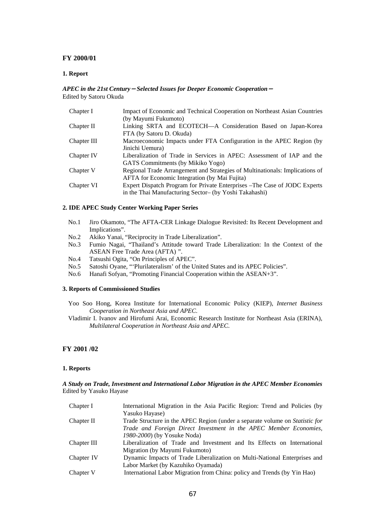# **FY 2000/01**

### **1. Report**

### *APEC in the 21st Century*-*Selected Issues for Deeper Economic Cooperation*- Edited by Satoru Okuda

| Chapter I   | Impact of Economic and Technical Cooperation on Northeast Asian Countries    |
|-------------|------------------------------------------------------------------------------|
|             | (by Mayumi Fukumoto)                                                         |
| Chapter II  | Linking SRTA and ECOTECH-A Consideration Based on Japan-Korea                |
|             | FTA (by Satoru D. Okuda)                                                     |
| Chapter III | Macroeconomic Impacts under FTA Configuration in the APEC Region (by         |
|             | Jinichi Uemura)                                                              |
| Chapter IV  | Liberalization of Trade in Services in APEC: Assessment of IAP and the       |
|             | GATS Commitments (by Mikiko Yogo)                                            |
| Chapter V   | Regional Trade Arrangement and Strategies of Multinationals: Implications of |
|             | <b>AFTA</b> for Economic Integration (by Mai Fujita)                         |
| Chapter VI  | Expert Dispatch Program for Private Enterprises – The Case of JODC Experts   |
|             | in the Thai Manufacturing Sector- (by Yoshi Takahashi)                       |

#### **2. IDE APEC Study Center Working Paper Series**

- No.1 Jiro Okamoto, "The AFTA-CER Linkage Dialogue Revisited: Its Recent Development and Implications".
- No.2 Akiko Yanai, "Reciprocity in Trade Liberalization".
- No.3 Fumio Nagai, "Thailand's Attitude toward Trade Liberalization: In the Context of the ASEAN Free Trade Area (AFTA) ".
- No.4 Tatsushi Ogita, "On Principles of APEC".
- No.5 Satoshi Oyane, "'Plurilateralism' of the United States and its APEC Policies".
- No.6 Hanafi Sofyan, "Promoting Financial Cooperation within the ASEAN+3".

### **3. Reports of Commissioned Studies**

- Yoo Soo Hong, Korea Institute for International Economic Policy (KIEP), *Internet Business Cooperation in Northeast Asia and APEC*.
- Vladimir I. Ivanov and Hirofumi Arai, Economic Research Institute for Northeast Asia (ERINA), *Multilateral Cooperation in Northeast Asia and APEC*.

# **FY 2001 /02**

#### **1. Reports**

### *A Study on Trade, Investment and International Labor Migration in the APEC Member Economies*  Edited by Yasuko Hayase

| Chapter I   | International Migration in the Asia Pacific Region: Trend and Policies (by   |
|-------------|------------------------------------------------------------------------------|
|             | Yasuko Hayase)                                                               |
| Chapter II  | Trade Structure in the APEC Region (under a separate volume on Statistic for |
|             | Trade and Foreign Direct Investment in the APEC Member Economies,            |
|             | 1980-2000) (by Yosuke Noda)                                                  |
| Chapter III | Liberalization of Trade and Investment and Its Effects on International      |
|             | Migration (by Mayumi Fukumoto)                                               |
| Chapter IV  | Dynamic Impacts of Trade Liberalization on Multi-National Enterprises and    |
|             | Labor Market (by Kazuhiko Oyamada)                                           |
| Chapter V   | International Labor Migration from China: policy and Trends (by Yin Hao)     |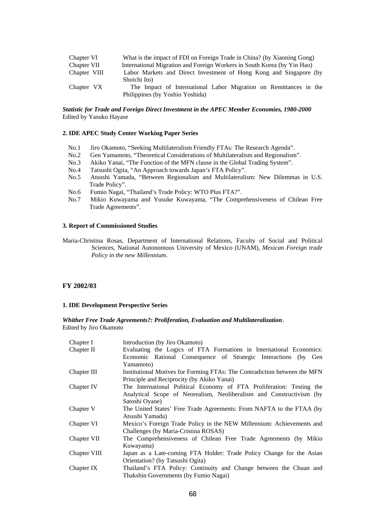| Chapter VI   | What is the impact of FDI on Foreign Trade in China? (by Xiaoning Gong) |
|--------------|-------------------------------------------------------------------------|
| Chapter VII  | International Migration and Foreign Workers in South Korea (by Yin Hao) |
| Chapter VIII | Labor Markets and Direct Investment of Hong Kong and Singapore (by      |
|              | Shoichi Ito)                                                            |
| Chapter VX   | The Impact of International Labor Migration on Remittances in the       |
|              | Philippines (by Yoshio Yoshida)                                         |

### *Statistic for Trade and Foreign Direct Investment in the APEC Member Economies, 1980-2000*  Edited by Yasuko Hayase

#### **2. IDE APEC Study Center Working Paper Series**

- No.1 Jiro Okamoto, "Seeking Multilateralism Friendly FTAs: The Research Agenda".
- No.2 Gen Yamamoto, "Theoretical Considerations of Multilateralism and Regionalism".
- No.3 Akiko Yanai, "The Function of the MFN clause in the Global Trading System".
- No.4 Tatsushi Ogita, "An Approach towards Japan's FTA Policy".
- No.5 Atsushi Yamada, "Between Regionalism and Multilateralism: New Dilemmas in U.S. Trade Policy".
- No.6 Fumio Nagai, "Thailand's Trade Policy: WTO Plus FTA?".
- No.7 Mikio Kuwayama and Yusuke Kuwayama, "The Comprehensiveness of Chilean Free Trade Agreements".

### **3. Report of Commissioned Studies**

Maria-Christina Rosas, Department of International Relations, Faculty of Social and Political Sciences, National Autonomous University of Mexico (UNAM), *Mexican Foreign trade Policy in the new Millennium.*

### **FY 2002/03**

#### **1. IDE Development Perspective Series**

*Whither Free Trade Agreements?: Proliferation, Evaluation and Multilateralization*. Edited by Jiro Okamoto

| Chapter I    | Introduction (by Jiro Okamoto)                                            |
|--------------|---------------------------------------------------------------------------|
| Chapter II   | Evaluating the Logics of FTA Formations in International Economics:       |
|              | Economic Rational Consequence of Strategic Interactions (by Gen           |
|              | Yamamoto)                                                                 |
| Chapter III  | Institutional Motives for Forming FTAs: The Contradiction between the MFN |
|              | Principle and Reciprocity (by Akiko Yanai)                                |
| Chapter IV   | The International Political Economy of FTA Proliferation: Testing the     |
|              | Analytical Scope of Neorealism, Neoliberalism and Constructivism (by      |
|              | Satoshi Oyane)                                                            |
| Chapter V    | The United States' Free Trade Agreements: From NAFTA to the FTAA (by      |
|              | Atsushi Yamada)                                                           |
| Chapter VI   | Mexico's Foreign Trade Policy in the NEW Millennium: Achievements and     |
|              | Challenges (by Maria-Cristina ROSAS)                                      |
| Chapter VII  | The Comprehensiveness of Chilean Free Trade Agreements (by Mikio          |
|              | Kuwayama)                                                                 |
| Chapter VIII | Japan as a Late-coming FTA Holder: Trade Policy Change for the Asian      |
|              | Orientation? (by Tatsushi Ogita)                                          |
| Chapter IX   | Thailand's FTA Policy: Continuity and Change between the Chuan and        |
|              | Thakshin Governments (by Fumio Nagai)                                     |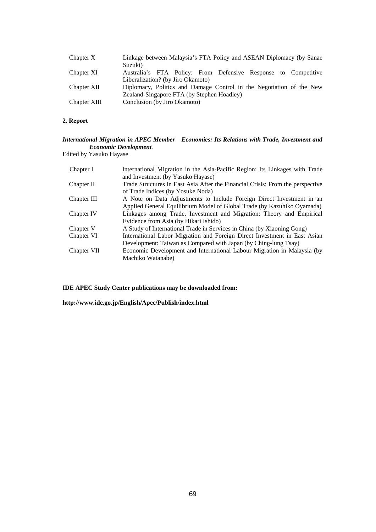| Chapter X    | Linkage between Malaysia's FTA Policy and ASEAN Diplomacy (by Sanae<br>Suzuki)                      |
|--------------|-----------------------------------------------------------------------------------------------------|
| Chapter XI   | Australia's FTA Policy: From Defensive Response to Competitive<br>Liberalization? (by Jiro Okamoto) |
| Chapter XII  | Diplomacy, Politics and Damage Control in the Negotiation of the New                                |
|              | Zealand-Singapore FTA (by Stephen Hoadley)                                                          |
| Chapter XIII | Conclusion (by Jiro Okamoto)                                                                        |

### **2. Report**

### *International Migration in APEC Member Economies: Its Relations with Trade, Investment and Economic Development.*

Edited by Yasuko Hayase

| International Migration in the Asia-Pacific Region: Its Linkages with Trade    |
|--------------------------------------------------------------------------------|
| and Investment (by Yasuko Hayase)                                              |
| Trade Structures in East Asia After the Financial Crisis: From the perspective |
| of Trade Indices (by Yosuke Noda)                                              |
| A Note on Data Adjustments to Include Foreign Direct Investment in an          |
| Applied General Equilibrium Model of Global Trade (by Kazuhiko Oyamada)        |
| Linkages among Trade, Investment and Migration: Theory and Empirical           |
| Evidence from Asia (by Hikari Ishido)                                          |
| A Study of International Trade in Services in China (by Xiaoning Gong)         |
| International Labor Migration and Foreign Direct Investment in East Asian      |
| Development: Taiwan as Compared with Japan (by Ching-lung Tsay)                |
| Economic Development and International Labour Migration in Malaysia (by        |
| Machiko Watanabe)                                                              |
|                                                                                |

**IDE APEC Study Center publications may be downloaded from:** 

**http://www.ide.go.jp/English/Apec/Publish/index.html**